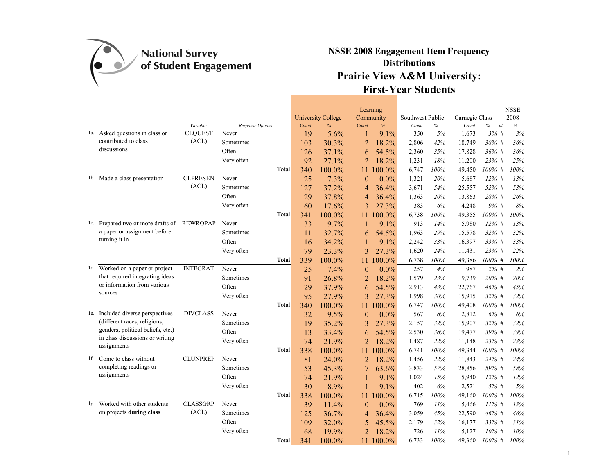

|                                             |                 |                  |       |                           | Learning                  |                  |      |                |                     | <b>NSSE</b> |
|---------------------------------------------|-----------------|------------------|-------|---------------------------|---------------------------|------------------|------|----------------|---------------------|-------------|
|                                             |                 |                  |       | <b>University College</b> | Community                 | Southwest Public |      | Carnegie Class |                     | 2008        |
|                                             | Variable        | Response Options | Count | %                         | Count<br>$\%$             | Count            | $\%$ | Count          | $\%$<br>$\sqrt{n}t$ | $\%$        |
| 1a. Asked questions in class or             | <b>CLOUEST</b>  | Never            | 19    | 5.6%                      | 9.1%<br>1                 | 350              | 5%   | 1,673          | 3%#                 | 3%          |
| contributed to class                        | (ACL)           | Sometimes        | 103   | 30.3%                     | $\overline{c}$<br>18.2%   | 2,806            | 42%  | 18,749         | 38% #               | 36%         |
| discussions                                 |                 | Often            | 126   | 37.1%                     | 54.5%<br>6                | 2,360            | 35%  | 17,828         | 36% #               | 36%         |
|                                             |                 | Very often       | 92    | 27.1%                     | $\overline{2}$<br>18.2%   | 1,231            | 18%  | 11,200         | 23% #               | 25%         |
|                                             |                 | Total            | 340   | 100.0%                    | 100.0%<br>11              | 6,747            | 100% | 49,450         | 100% #              | 100%        |
| 1b. Made a class presentation               | <b>CLPRESEN</b> | Never            | 25    | 7.3%                      | $0.0\%$<br>$\overline{0}$ | 1,321            | 20%  | 5,687          | 12% #               | 13%         |
|                                             | (ACL)           | Sometimes        | 127   | 37.2%                     | 36.4%<br>4                | 3,671            | 54%  | 25,557         | 52% #               | 53%         |
|                                             |                 | Often            | 129   | 37.8%                     | 36.4%<br>4                | 1,363            | 20%  | 13,863         | 28% #               | 26%         |
|                                             |                 | Very often       | 60    | 17.6%                     | 27.3%<br>3                | 383              | 6%   | 4,248          | $9\%$ #             | 8%          |
|                                             |                 | Total            | 341   | 100.0%                    | 100.0%<br>11              | 6,738            | 100% | 49,355         | 100% #              | 100%        |
| 1c. Prepared two or more drafts of REWROPAP |                 | Never            | 33    | 9.7%                      | 9.1%<br>1                 | 913              | 14%  | 5,980          | $12\%$ #            | 13%         |
| a paper or assignment before                |                 | Sometimes        | 111   | 32.7%                     | 54.5%<br>6                | 1,963            | 29%  | 15,578         | $32\%$ #            | 32%         |
| turning it in                               |                 | Often            | 116   | 34.2%                     | 9.1%<br>1                 | 2,242            | 33%  | 16,397         | 33% #               | 33%         |
|                                             |                 | Very often       | 79    | 23.3%                     | 27.3%<br>3                | 1,620            | 24%  | 11,431         | 23% #               | 22%         |
|                                             |                 | Total            | 339   | 100.0%                    | 100.0%<br>11              | 6,738            | 100% | 49,386         | 100% #              | 100%        |
| 1d. Worked on a paper or project            | <b>INTEGRAT</b> | Never            | 25    | 7.4%                      | $0.0\%$<br>$\overline{0}$ | 257              | 4%   | 987            | $2\%$ #             | 2%          |
| that required integrating ideas             |                 | Sometimes        | 91    | 26.8%                     | 18.2%<br>2                | 1,579            | 23%  | 9,739          | 20% #               | 20%         |
| or information from various                 |                 | Often            | 129   | 37.9%                     | 6<br>54.5%                | 2,913            | 43%  | 22,767         | 46% #               | 45%         |
| sources                                     |                 | Very often       | 95    | 27.9%                     | 3<br>27.3%                | 1,998            | 30%  | 15,915         | $32\%$ #            | 32%         |
|                                             |                 | Total            | 340   | 100.0%                    | 100.0%<br>11              | 6,747            | 100% | 49,408         | $100\%$ #           | 100%        |
| 1e. Included diverse perspectives           | <b>DIVCLASS</b> | Never            | 32    | 9.5%                      | $\theta$<br>$0.0\%$       | 567              | 8%   | 2,812          | $6\%$ #             | 6%          |
| (different races, religions,                |                 | Sometimes        | 119   | 35.2%                     | 3<br>27.3%                | 2,157            | 32%  | 15,907         | 32% #               | 32%         |
| genders, political beliefs, etc.)           |                 | Often            | 113   | 33.4%                     | 54.5%<br>6                | 2,530            | 38%  | 19,477         | 39% #               | 39%         |
| in class discussions or writing             |                 | Very often       | 74    | 21.9%                     | $\overline{2}$<br>18.2%   | 1,487            | 22%  | 11,148         | 23% #               | 23%         |
| assignments                                 |                 | Total            | 338   | 100.0%                    | 100.0%<br>11              | 6,741            | 100% | 49,344         | 100% #              | 100%        |
| 1f. Come to class without                   | <b>CLUNPREP</b> | Never            | 81    | 24.0%                     | $\overline{2}$<br>18.2%   | 1,456            | 22%  | 11,843         | 24% #               | 24%         |
| completing readings or                      |                 | Sometimes        | 153   | 45.3%                     | 7<br>63.6%                | 3,833            | 57%  | 28,856         | 59% #               | 58%         |
| assignments                                 |                 | Often            | 74    | 21.9%                     | 9.1%<br>1                 | 1,024            | 15%  | 5,940          | $12\%$ #            | 12%         |
|                                             |                 | Very often       | 30    | 8.9%                      | 9.1%<br>1                 | 402              | 6%   | 2,521          | 5% #                | 5%          |
|                                             |                 | Total            | 338   | 100.0%                    | 100.0%<br>11.             | 6,715            | 100% | 49,160         | 100% #              | 100%        |
| 1g. Worked with other students              | <b>CLASSGRP</b> | Never            | 39    | 11.4%                     | 0.0%<br>$\overline{0}$    | 769              | 11%  | 5,466          | 11% #               | 13%         |
| on projects during class                    | (ACL)           | Sometimes        | 125   | 36.7%                     | 36.4%<br>4                | 3,059            | 45%  | 22,590         | 46% #               | 46%         |
|                                             |                 | Often            | 109   | 32.0%                     | 45.5%<br>5                | 2,179            | 32%  | 16,177         | 33% #               | 31%         |
|                                             |                 | Very often       | 68    | 19.9%                     | $\overline{2}$<br>18.2%   | 726              | 11%  | 5,127          | $10\%$ #            | 10%         |
|                                             |                 | Total            | 341   | 100.0%                    | 100.0%<br>11              | 6,733            | 100% | 49,360         | 100% #              | 100%        |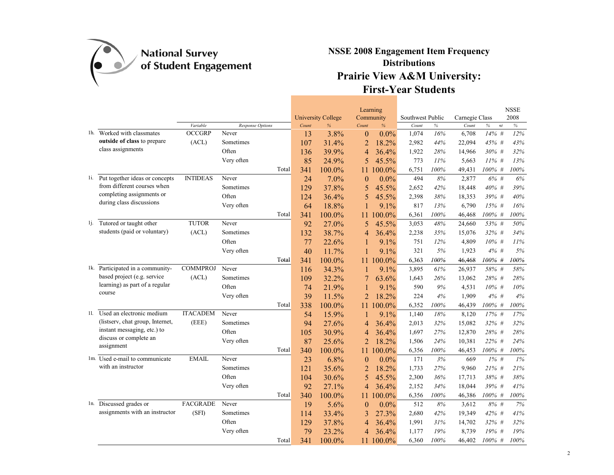

|     |                                    |                 |                                  |       |                           | Learning                  |                  |      |                |            | <b>NSSE</b> |
|-----|------------------------------------|-----------------|----------------------------------|-------|---------------------------|---------------------------|------------------|------|----------------|------------|-------------|
|     |                                    |                 |                                  |       | <b>University College</b> | Community                 | Southwest Public |      | Carnegie Class |            | 2008        |
|     | 1h. Worked with classmates         | Variable        | <b>Response Options</b><br>Never | Count | $\frac{1}{6}$             | Count<br>$\%$             | Count            | $\%$ | Count          | $\%$<br>nt | $\%$        |
|     | outside of class to prepare        | <b>OCCGRP</b>   |                                  | 13    | 3.8%                      | $\theta$<br>$0.0\%$       | 1,074            | 16%  | 6,708          | 14% #      | 12%         |
|     | class assignments                  | (ACL)           | Sometimes                        | 107   | 31.4%                     | $\overline{2}$<br>18.2%   | 2,982            | 44%  | 22,094         | 45% #      | 43%         |
|     |                                    |                 | Often                            | 136   | 39.9%                     | 36.4%<br>4                | 1,922            | 28%  | 14,966         | 30% #      | 32%         |
|     |                                    |                 | Very often                       | 85    | 24.9%                     | 5<br>45.5%                | 773              | 11%  | 5,663          | $11\%$ #   | 13%         |
|     |                                    |                 | Total                            | 341   | 100.0%                    | 100.0%<br>11              | 6,751            | 100% | 49,431         | 100% #     | 100%        |
|     | 1i. Put together ideas or concepts | <b>INTIDEAS</b> | Never                            | 24    | 7.0%                      | $0.0\%$<br>$\overline{0}$ | 494              | 8%   | 2,877          | 6%#        | 6%          |
|     | from different courses when        |                 | Sometimes                        | 129   | 37.8%                     | 45.5%<br>5                | 2,652            | 42%  | 18,448         | 40% #      | 39%         |
|     | completing assignments or          |                 | Often                            | 124   | 36.4%                     | 5<br>45.5%                | 2,398            | 38%  | 18,353         | 39% #      | 40%         |
|     | during class discussions           |                 | Very often                       | 64    | 18.8%                     | 9.1%<br>1                 | 817              | 13%  | 6,790          | 15% #      | 16%         |
|     |                                    |                 | Total                            | 341   | 100.0%                    | 100.0%<br>11              | 6,361            | 100% | 46,468         | 100% #     | 100%        |
| lj. | Tutored or taught other            | <b>TUTOR</b>    | Never                            | 92    | 27.0%                     | 5<br>45.5%                | 3,053            | 48%  | 24,660         | 53% #      | 50%         |
|     | students (paid or voluntary)       | (ACL)           | Sometimes                        | 132   | 38.7%                     | 36.4%<br>4                | 2,238            | 35%  | 15,076         | 32% #      | 34%         |
|     |                                    |                 | Often                            | 77    | 22.6%                     | 9.1%<br>1                 | 751              | 12%  | 4,809          | $10\%$ #   | 11%         |
|     |                                    |                 | Very often                       | 40    | 11.7%                     | 9.1%<br>1                 | 321              | 5%   | 1,923          | $4\%$ #    | 5%          |
|     |                                    |                 | Total                            | 341   | 100.0%                    | 100.0%<br>11              | 6,363            | 100% | 46,468         | 100% #     | 100%        |
|     | 1k. Participated in a community-   | <b>COMMPROJ</b> | Never                            | 116   | 34.3%                     | 9.1%<br>1                 | 3,895            | 61%  | 26,937         | 58% #      | 58%         |
|     | based project (e.g. service        | (ACL)           | Sometimes                        | 109   | 32.2%                     | 7<br>63.6%                | 1,643            | 26%  | 13,062         | 28% #      | 28%         |
|     | learning) as part of a regular     |                 | Often                            | 74    | 21.9%                     | 9.1%<br>1                 | 590              | 9%   | 4,531          | $10\%$ #   | 10%         |
|     | course                             |                 | Very often                       | 39    | 11.5%                     | $\overline{2}$<br>18.2%   | 224              | 4%   | 1,909          | 4%#        | 4%          |
|     |                                    |                 | Total                            | 338   | 100.0%                    | 100.0%<br>11.             | 6,352            | 100% | 46,439         | 100% #     | 100%        |
| 11. | Used an electronic medium          | <b>ITACADEM</b> | Never                            | 54    | 15.9%                     | 9.1%<br>1                 | 1,140            | 18%  | 8,120          | 17% #      | 17%         |
|     | (listserv, chat group, Internet,   | (EEE)           | Sometimes                        | 94    | 27.6%                     | 36.4%<br>4                | 2,013            | 32%  | 15,082         | 32% #      | 32%         |
|     | instant messaging, etc.) to        |                 | Often                            | 105   | 30.9%                     | 36.4%<br>4                | 1,697            | 27%  | 12,870         | 28% #      | 28%         |
|     | discuss or complete an             |                 | Very often                       | 87    | 25.6%                     | $\overline{2}$<br>18.2%   | 1,506            | 24%  | 10,381         | 22% #      | 24%         |
|     | assignment                         |                 | Total                            | 340   | 100.0%                    | 100.0%<br>11.             | 6,356            | 100% | 46,453         | $100\%$ #  | 100%        |
|     | 1m. Used e-mail to communicate     | <b>EMAIL</b>    | Never                            | 23    | 6.8%                      | 0.0%<br>$\overline{0}$    | 171              | 3%   | 669            | $1\%$ #    | 1%          |
|     | with an instructor                 |                 | Sometimes                        | 121   | 35.6%                     | $\overline{2}$<br>18.2%   | 1,733            | 27%  | 9,960          | 21% #      | 21%         |
|     |                                    |                 | Often                            | 104   | 30.6%                     | 5<br>45.5%                | 2,300            | 36%  | 17,713         | 38% #      | 38%         |
|     |                                    |                 | Very often                       | 92    | 27.1%                     | 36.4%<br>4                | 2,152            | 34%  | 18,044         | 39% #      | 41%         |
|     |                                    |                 | Total                            | 340   | 100.0%                    | 100.0%<br>11              | 6,356            | 100% | 46,386         | 100% #     | 100%        |
|     | 1n. Discussed grades or            | <b>FACGRADE</b> | Never                            | 19    | 5.6%                      | 0.0%<br>$\overline{0}$    | 512              | 8%   | 3,612          | 8% #       | 7%          |
|     | assignments with an instructor     | (SFI)           | Sometimes                        | 114   | 33.4%                     | 27.3%<br>3                | 2,680            | 42%  | 19,349         | 42% #      | 41%         |
|     |                                    |                 | Often                            | 129   | 37.8%                     | 36.4%<br>4                | 1,991            | 31%  | 14,702         | 32% #      | 32%         |
|     |                                    |                 | Very often                       | 79    | 23.2%                     | 36.4%<br>4                | 1,177            | 19%  | 8,739          | 19% #      | 19%         |
|     |                                    |                 | Total                            | 341   | 100.0%                    | 100.0%<br>11              | 6,360            | 100% | 46,402         | 100% #     | 100%        |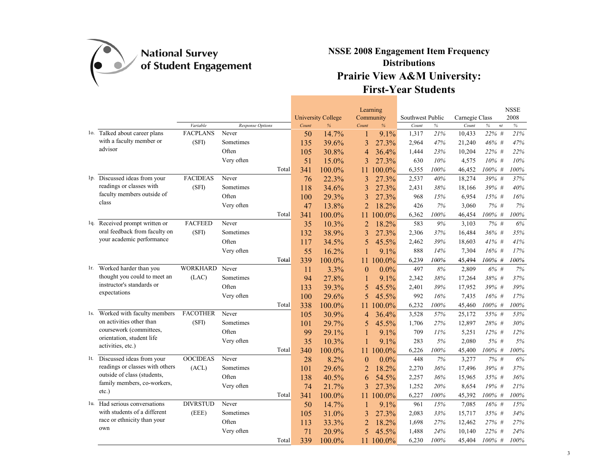

|                                                            |                             |                           |       |                           | Learning       |         |                  |      |                |            | <b>NSSE</b> |
|------------------------------------------------------------|-----------------------------|---------------------------|-------|---------------------------|----------------|---------|------------------|------|----------------|------------|-------------|
|                                                            |                             |                           |       | <b>University College</b> | Community      |         | Southwest Public |      | Carnegie Class |            | 2008        |
|                                                            | Variable<br><b>FACPLANS</b> | Response Options<br>Never | Count | %                         | Count          | %       | Count            | $\%$ | Count          | $\%$<br>nt | $\%$        |
| 10. Talked about career plans<br>with a faculty member or  |                             |                           | 50    | 14.7%                     | 1              | $9.1\%$ | 1,317            | 21%  | 10,433         | 22% #      | 21%         |
| advisor                                                    | (SF1)                       | Sometimes<br>Often        | 135   | 39.6%                     | 3              | 27.3%   | 2,964            | 47%  | 21,240         | 46% #      | 47%         |
|                                                            |                             |                           | 105   | 30.8%                     | 4              | 36.4%   | 1,444            | 23%  | 10,204         | 22% #      | 22%         |
|                                                            |                             | Very often                | 51    | 15.0%                     | 3              | 27.3%   | 630              | 10%  | 4,575          | $10\%$ #   | 10%         |
|                                                            |                             | Total                     | 341   | 100.0%                    | 11             | 100.0%  | 6,355            | 100% | 46,452         | $100\%$ #  | 100%        |
| 1p. Discussed ideas from your<br>readings or classes with  | <b>FACIDEAS</b>             | Never                     | 76    | 22.3%                     | 3              | 27.3%   | 2,537            | 40%  | 18,274         | 39% #      | 37%         |
| faculty members outside of                                 | (SF)                        | Sometimes                 | 118   | 34.6%                     | 3              | 27.3%   | 2,431            | 38%  | 18,166         | 39% #      | 40%         |
| class                                                      |                             | Often                     | 100   | 29.3%                     | 3              | 27.3%   | 968              | 15%  | 6,954          | 15% #      | 16%         |
|                                                            |                             | Very often                | 47    | 13.8%                     | $\overline{2}$ | 18.2%   | 426              | 7%   | 3,060          | $7\%$ #    | 7%          |
|                                                            |                             | Total                     | 341   | 100.0%                    | 11             | 100.0%  | 6,362            | 100% | 46,454         | 100% #     | 100%        |
| 1q. Received prompt written or                             | <b>FACFEED</b>              | Never                     | 35    | 10.3%                     | 2              | 18.2%   | 583              | 9%   | 3,103          | $7\%$ #    | 6%          |
| oral feedback from faculty on<br>your academic performance | (SFI)                       | Sometimes                 | 132   | 38.9%                     | 3              | 27.3%   | 2,306            | 37%  | 16,484         | 36% #      | 35%         |
|                                                            |                             | Often                     | 117   | 34.5%                     | 5              | 45.5%   | 2,462            | 39%  | 18,603         | $41\%$ #   | 41%         |
|                                                            |                             | Very often                | 55    | 16.2%                     |                | 9.1%    | 888              | 14%  | 7,304          | $16\%$ #   | 17%         |
|                                                            |                             | Total                     | 339   | 100.0%                    | 11             | 100.0%  | 6,239            | 100% | 45,494         | 100% #     | 100%        |
| 1r. Worked harder than you                                 | <b>WORKHARD</b>             | Never                     | 11    | 3.3%                      | $\theta$       | 0.0%    | 497              | 8%   | 2,809          | 6% #       | 7%          |
| thought you could to meet an<br>instructor's standards or  | (LAC)                       | Sometimes                 | 94    | 27.8%                     | 1              | 9.1%    | 2,342            | 38%  | 17,264         | 38% #      | 37%         |
| expectations                                               |                             | Often                     | 133   | 39.3%                     | 5              | 45.5%   | 2,401            | 39%  | 17,952         | 39% #      | 39%         |
|                                                            |                             | Very often                | 100   | 29.6%                     | 5              | 45.5%   | 992              | 16%  | 7,435          | $16%$ #    | 17%         |
|                                                            |                             | Total                     | 338   | 100.0%                    | 11             | 100.0%  | 6,232            | 100% | 45,460         | $100\%$ #  | 100%        |
| 1s. Worked with faculty members                            | <b>FACOTHER</b>             | Never                     | 105   | 30.9%                     | 4              | 36.4%   | 3,528            | 57%  | 25,172         | 55% #      | 53%         |
| on activities other than                                   | (SF)                        | Sometimes                 | 101   | 29.7%                     | 5              | 45.5%   | 1,706            | 27%  | 12,897         | 28% #      | 30%         |
| coursework (committees,                                    |                             | Often                     | 99    | 29.1%                     | 1              | 9.1%    | 709              | 11%  | 5,251          | $12\%$ #   | 12%         |
| orientation, student life<br>activities, etc.)             |                             | Very often                | 35    | 10.3%                     |                | 9.1%    | 283              | 5%   | 2,080          | 5% #       | 5%          |
|                                                            |                             | Total                     | 340   | 100.0%                    | 11             | 100.0%  | 6,226            | 100% | 45,400         | 100% #     | 100%        |
| 1t. Discussed ideas from your                              | <b>OOCIDEAS</b>             | Never                     | 28    | 8.2%                      | $\theta$       | $0.0\%$ | 448              | 7%   | 3,277          | $7\%$ #    | 6%          |
| readings or classes with others                            | (ACL)                       | Sometimes                 | 101   | 29.6%                     | $\overline{c}$ | 18.2%   | 2,270            | 36%  | 17,496         | 39% #      | 37%         |
| outside of class (students,                                |                             | Often                     | 138   | 40.5%                     | 6              | 54.5%   | 2,257            | 36%  | 15,965         | 35% #      | 36%         |
| family members, co-workers,<br>$etc.$ )                    |                             | Very often                | 74    | 21.7%                     | 3              | 27.3%   | 1,252            | 20%  | 8,654          | 19% #      | 21%         |
|                                                            |                             | Total                     | 341   | 100.0%                    | 11             | 100.0%  | 6,227            | 100% | 45,392         | $100\%$ #  | 100%        |
| 1u. Had serious conversations                              | <b>DIVRSTUD</b>             | Never                     | 50    | 14.7%                     | 1              | 9.1%    | 961              | 15%  | 7,085          | $16%$ #    | 15%         |
| with students of a different                               | (EEE)                       | Sometimes                 | 105   | 31.0%                     | 3              | 27.3%   | 2,083            | 33%  | 15,717         | 35% #      | 34%         |
| race or ethnicity than your                                |                             | Often                     | 113   | 33.3%                     | $\overline{c}$ | 18.2%   | 1,698            | 27%  | 12,462         | 27% #      | 27%         |
| own                                                        |                             | Very often                | 71    | 20.9%                     | 5              | 45.5%   | 1,488            | 24%  | 10,140         | 22% #      | 24%         |
|                                                            |                             | Total                     | 339   | 100.0%                    | 11             | 100.0%  | 6,230            | 100% | 45,404         | $100\%$ #  | 100%        |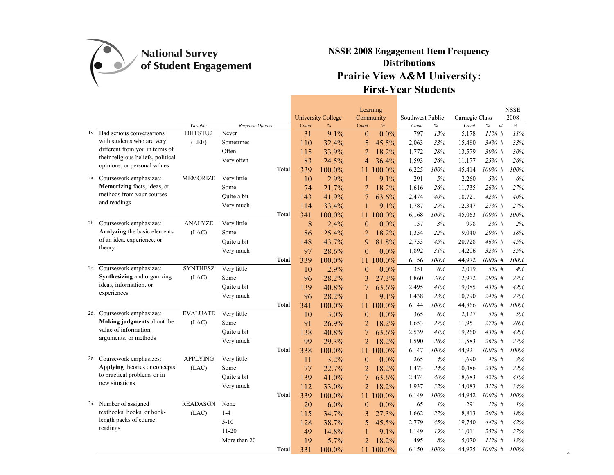

|                                               |                 |                  |       |       |                                |                  | Learning          |                           |      |                         |            | <b>NSSE</b><br>2008 |
|-----------------------------------------------|-----------------|------------------|-------|-------|--------------------------------|------------------|-------------------|---------------------------|------|-------------------------|------------|---------------------|
|                                               | Variable        | Response Options |       | Count | <b>University College</b><br>% | Count            | Community<br>$\%$ | Southwest Public<br>Count | $\%$ | Carnegie Class<br>Count | $\%$<br>nt | $\%$                |
| 1v. Had serious conversations                 | DIFFSTU2        | Never            |       | 31    | 9.1%                           | $\theta$         | $0.0\%$           | 797                       | 13%  | 5,178                   | $11\%$ #   | $11\%$              |
| with students who are very                    | (EEE)           | Sometimes        |       | 110   | 32.4%                          | 5                | 45.5%             | 2,063                     | 33%  | 15,480                  | 34% #      | 33%                 |
| different from you in terms of                |                 | Often            |       | 115   | 33.9%                          | $\overline{2}$   | 18.2%             | 1,772                     | 28%  | 13,579                  | 30% #      | 30%                 |
| their religious beliefs, political            |                 | Very often       |       | 83    | 24.5%                          | 4                | 36.4%             | 1,593                     | 26%  | 11,177                  | 25% #      | 26%                 |
| opinions, or personal values                  |                 |                  | Total | 339   | 100.0%                         | 11               | 100.0%            | 6,225                     | 100% | 45,414                  | 100% #     | 100%                |
| 2a. Coursework emphasizes:                    | <b>MEMORIZE</b> | Very little      |       | 10    | 2.9%                           |                  | 9.1%              | 291                       | 5%   | 2,260                   | 5% #       | 6%                  |
| Memorizing facts, ideas, or                   |                 | Some             |       | 74    | 21.7%                          | $\overline{2}$   | 18.2%             | 1,616                     | 26%  | 11,735                  | 26% #      | 27%                 |
| methods from your courses                     |                 | Quite a bit      |       | 143   | 41.9%                          | 7                | 63.6%             | 2,474                     | 40%  | 18,721                  | 42% #      | 40%                 |
| and readings                                  |                 | Very much        |       | 114   | 33.4%                          |                  | 9.1%              | 1,787                     | 29%  | 12,347                  | 27% #      | 27%                 |
|                                               |                 |                  | Total | 341   | 100.0%                         | 11               | 100.0%            | 6,168                     | 100% | 45,063                  | 100% #     | 100%                |
| 2b. Coursework emphasizes:                    | <b>ANALYZE</b>  | Very little      |       | 8     | 2.4%                           | $\boldsymbol{0}$ | 0.0%              | 157                       | 3%   | 998                     | $2\%$ #    | 2%                  |
| Analyzing the basic elements                  | (LAC)           | Some             |       | 86    | 25.4%                          | $\overline{2}$   | 18.2%             | 1,354                     | 22%  | 9,040                   | 20% #      | 18%                 |
| of an idea, experience, or                    |                 | Quite a bit      |       | 148   | 43.7%                          | 9                | 81.8%             | 2,753                     | 45%  | 20,728                  | 46%#       | 45%                 |
| theory                                        |                 | Very much        |       | 97    | 28.6%                          | $\theta$         | $0.0\%$           | 1,892                     | 31%  | 14,206                  | 32% #      | 35%                 |
|                                               |                 |                  | Total | 339   | 100.0%                         | 11               | 100.0%            | 6,156                     | 100% | 44,972                  | 100% #     | 100%                |
| 2c. Coursework emphasizes:                    | <b>SYNTHESZ</b> | Very little      |       | 10    | 2.9%                           | $\theta$         | $0.0\%$           | 351                       | 6%   | 2,019                   | $5%$ #     | 4%                  |
| Synthesizing and organizing                   | (LAC)           | Some             |       | 96    | 28.2%                          | 3                | 27.3%             | 1,860                     | 30%  | 12,972                  | 29% #      | 27%                 |
| ideas, information, or                        |                 | Quite a bit      |       | 139   | 40.8%                          | 7                | 63.6%             | 2,495                     | 41%  | 19,085                  | 43%#       | 42%                 |
| experiences                                   |                 | Very much        |       | 96    | 28.2%                          |                  | 9.1%              | 1,438                     | 23%  | 10,790                  | 24%#       | 27%                 |
|                                               |                 |                  | Total | 341   | 100.0%                         |                  | 11 100.0%         | 6,144                     | 100% | 44,866                  | 100% #     | 100%                |
| 2d. Coursework emphasizes:                    | <b>EVALUATE</b> | Very little      |       | 10    | 3.0%                           | $\theta$         | 0.0%              | 365                       | 6%   | 2,127                   | 5% #       | 5%                  |
| Making judgments about the                    | (LAC)           | Some             |       | 91    | 26.9%                          | 2                | 18.2%             | 1,653                     | 27%  | 11,951                  | 27% #      | 26%                 |
| value of information,                         |                 | Quite a bit      |       | 138   | 40.8%                          | 7                | 63.6%             | 2,539                     | 41%  | 19,260                  | 43% #      | 42%                 |
| arguments, or methods                         |                 | Very much        |       | 99    | 29.3%                          | $\overline{2}$   | 18.2%             | 1,590                     | 26%  | 11,583                  | 26% #      | 27%                 |
|                                               |                 |                  | Total | 338   | 100.0%                         | 11               | 100.0%            | 6,147                     | 100% | 44,921                  | $100\%$ #  | 100%                |
| 2e. Coursework emphasizes:                    | <b>APPLYING</b> | Very little      |       | 11    | 3.2%                           | $\theta$         | $0.0\%$           | 265                       | 4%   | 1,690                   | $4\%$ #    | 3%                  |
| Applying theories or concepts                 | (LAC)           | Some             |       | 77    | 22.7%                          | 2                | 18.2%             | 1,473                     | 24%  | 10,486                  | 23% #      | 22%                 |
| to practical problems or in<br>new situations |                 | Quite a bit      |       | 139   | 41.0%                          | 7                | 63.6%             | 2,474                     | 40%  | 18,683                  | 42% #      | 41%                 |
|                                               |                 | Very much        |       | 112   | 33.0%                          | $\overline{2}$   | 18.2%             | 1,937                     | 32%  | 14,083                  | $31\%$ #   | 34%                 |
|                                               |                 |                  | Total | 339   | 100.0%                         | 11               | 100.0%            | 6,149                     | 100% | 44,942                  | 100% #     | 100%                |
| 3a. Number of assigned                        | <b>READASGN</b> | None             |       | 20    | 6.0%                           | $\boldsymbol{0}$ | $0.0\%$           | 65                        | 1%   | 291                     | $1\%$ #    | 1%                  |
| textbooks, books, or book-                    | (LAC)           | $1 - 4$          |       | 115   | 34.7%                          | 3                | 27.3%             | 1,662                     | 27%  | 8,813                   | 20% #      | 18%                 |
| length packs of course<br>readings            |                 | $5 - 10$         |       | 128   | 38.7%                          | 5                | 45.5%             | 2,779                     | 45%  | 19,740                  | 44% #      | 42%                 |
|                                               |                 | $11 - 20$        |       | 49    | 14.8%                          |                  | 9.1%              | 1,149                     | 19%  | 11,011                  | 25% #      | 27%                 |
|                                               |                 | More than 20     |       | 19    | 5.7%                           | $\overline{2}$   | 18.2%             | 495                       | 8%   | 5,070                   | $11\%$ #   | 13%                 |
|                                               |                 |                  | Total | 331   | 100.0%                         | 11               | 100.0%            | 6,150                     | 100% | 44.925                  | $100\%$ #  | 100%                |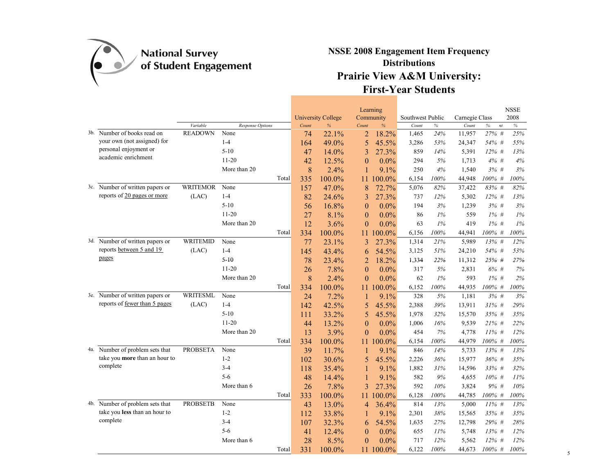

|                                 |                 |                  |       | <b>University College</b> | Learning<br>Community |         | Southwest Public |       | Carnegie Class |                     | <b>NSSE</b><br>2008 |
|---------------------------------|-----------------|------------------|-------|---------------------------|-----------------------|---------|------------------|-------|----------------|---------------------|---------------------|
|                                 | Variable        | Response Options | Count | $\frac{9}{6}$             | Count<br>$\%$         |         | Count            | $\%$  | Count          | $\%$<br>$\sqrt{nt}$ | $\%$                |
| 3b. Number of books read on     | <b>READOWN</b>  | None             | 74    | 22.1%                     | $\overline{2}$        | 18.2%   | 1,465            | 24%   | 11,957         | 27% #               | 25%                 |
| your own (not assigned) for     |                 | $1-4$            | 164   | 49.0%                     | 5<br>45.5%            |         | 3,286            | 53%   | 24,347         | 54% #               | 55%                 |
| personal enjoyment or           |                 | $5-10$           | 47    | 14.0%                     | 3                     | 27.3%   | 859              | 14%   | 5,391          | $12\%$ #            | 13%                 |
| academic enrichment             |                 | $11-20$          | 42    | 12.5%                     | $\overline{0}$        | $0.0\%$ | 294              | 5%    | 1,713          | 4%#                 | 4%                  |
|                                 |                 | More than 20     | 8     | 2.4%                      |                       | 9.1%    | 250              | 4%    | 1,540          | 3%#                 | 3%                  |
|                                 |                 | Total            | 335   | 100.0%                    | 100.0%<br>11.         |         | 6,154            | 100%  | 44,948         | 100% #              | 100%                |
| 3c. Number of written papers or | <b>WRITEMOR</b> | None             | 157   | 47.0%                     | 8                     | 72.7%   | 5,076            | 82%   | 37,422         | 83% #               | 82%                 |
| reports of 20 pages or more     | (LAC)           | $1-4$            | 82    | 24.6%                     | 3                     | 27.3%   | 737              | 12%   | 5,302          | 12% #               | 13%                 |
|                                 |                 | $5 - 10$         | 56    | 16.8%                     | $\theta$              | $0.0\%$ | 194              | 3%    | 1,239          | 3%#                 | 3%                  |
|                                 |                 | $11-20$          | 27    | 8.1%                      | $\theta$              | $0.0\%$ | 86               | $1\%$ | 559            | $1\%$ #             | 1%                  |
|                                 |                 | More than 20     | 12    | 3.6%                      | $\theta$              | 0.0%    | 63               | 1%    | 419            | $1\%$ #             | 1%                  |
|                                 |                 | Total            | 334   | 100.0%                    | 100.0%<br>11          |         | 6,156            | 100%  | 44,941         | 100% #              | 100%                |
| 3d. Number of written papers or | <b>WRITEMID</b> | None             | 77    | 23.1%                     | 3                     | 27.3%   | 1,314            | 21%   | 5,989          | $13\%$ #            | 12%                 |
| reports between 5 and 19        | (LAC)           | $1-4$            | 145   | 43.4%                     | 54.5%<br>6            |         | 3,125            | 51%   | 24,210         | 54% #               | 53%                 |
| pages                           |                 | $5 - 10$         | 78    | 23.4%                     | $\overline{2}$        | 18.2%   | 1,334            | 22%   | 11,312         | 25% #               | 27%                 |
|                                 |                 | $11 - 20$        | 26    | 7.8%                      | $\theta$              | $0.0\%$ | 317              | 5%    | 2,831          | 6%#                 | 7%                  |
|                                 |                 | More than 20     | 8     | 2.4%                      | $\overline{0}$        | $0.0\%$ | 62               | 1%    | 593            | $1\%$ #             | 2%                  |
|                                 |                 | Total            | 334   | 100.0%                    | 100.0%<br>$11^{-}$    |         | 6,152            | 100%  | 44,935         | 100% #              | 100%                |
| 3e. Number of written papers or | <b>WRITESML</b> | None             | 24    | 7.2%                      | 1                     | 9.1%    | 328              | 5%    | 1,181          | 3%#                 | 3%                  |
| reports of fewer than 5 pages   | (LAC)           | $1-4$            | 142   | 42.5%                     | 5<br>45.5%            |         | 2,388            | 39%   | 13,911         | $31\%$ #            | 29%                 |
|                                 |                 | $5-10$           | 111   | 33.2%                     | 5<br>45.5%            |         | 1,978            | 32%   | 15,570         | 35% #               | 35%                 |
|                                 |                 | $11-20$          | 44    | 13.2%                     | $\theta$              | $0.0\%$ | 1,006            | 16%   | 9,539          | $21\%$ #            | 22%                 |
|                                 |                 | More than 20     | 13    | 3.9%                      | $\theta$              | $0.0\%$ | 454              | 7%    | 4,778          | $11\%$ #            | 12%                 |
|                                 |                 | Total            | 334   | 100.0%                    | 100.0%<br>11          |         | 6,154            | 100%  | 44,979         | 100% #              | 100%                |
| 4a. Number of problem sets that | <b>PROBSETA</b> | None             | 39    | 11.7%                     | 1                     | 9.1%    | 846              | 14%   | 5,733          | 13% #               | 13%                 |
| take you more than an hour to   |                 | $1 - 2$          | 102   | 30.6%                     | 5<br>45.5%            |         | 2,226            | 36%   | 15,977         | $36\%$ #            | 35%                 |
| complete                        |                 | $3 - 4$          | 118   | 35.4%                     | 1                     | 9.1%    | 1,882            | 31%   | 14,596         | 33% #               | 32%                 |
|                                 |                 | $5 - 6$          | 48    | 14.4%                     | $\mathbf{1}$          | 9.1%    | 582              | 9%    | 4,655          | $10\%$ #            | 11%                 |
|                                 |                 | More than 6      | 26    | 7.8%                      | 3                     | 27.3%   | 592              | 10%   | 3,824          | 9%#                 | 10%                 |
|                                 |                 | Total            | 333   | 100.0%                    | 100.0%<br>11          |         | 6,128            | 100%  | 44,785         | 100% #              | 100%                |
| 4b. Number of problem sets that | <b>PROBSETB</b> | None             | 43    | 13.0%                     | 4                     | 36.4%   | 814              | 13%   | 5,000          | $11\%$ #            | 13%                 |
| take you less than an hour to   |                 | $1 - 2$          | 112   | 33.8%                     | 1                     | 9.1%    | 2,301            | 38%   | 15,565         | 35% #               | 35%                 |
| complete                        |                 | $3 - 4$          | 107   | 32.3%                     | 6                     | 54.5%   | 1,635            | 27%   | 12,798         | 29% #               | 28%                 |
|                                 |                 | $5 - 6$          | 41    | 12.4%                     | $\theta$              | 0.0%    | 655              | 11%   | 5,748          | 13% #               | 12%                 |
|                                 |                 | More than 6      | 28    | 8.5%                      | $\theta$              | 0.0%    | 717              | 12%   | 5,562          | $12\%$ #            | 12%                 |
|                                 |                 | Total            | 331   | 100.0%                    | 100.0%<br>11          |         | 6,122            | 100%  | 44,673         | $100\%$ #           | 100%                |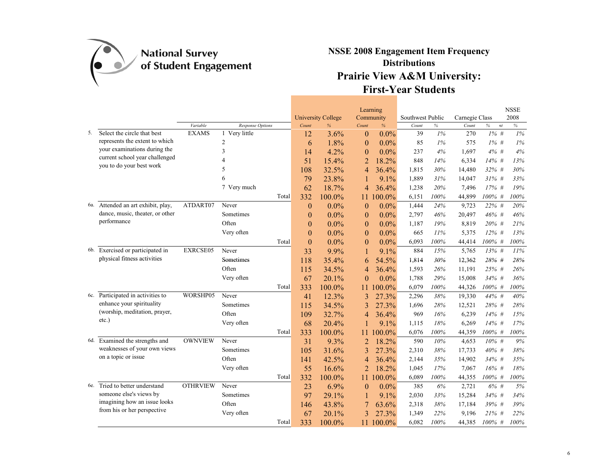

|    |                                    |                 |                  | <b>University College</b> |                   | Learning                        |                  |       |                |                       | <b>NSSE</b> |
|----|------------------------------------|-----------------|------------------|---------------------------|-------------------|---------------------------------|------------------|-------|----------------|-----------------------|-------------|
|    |                                    | Variable        | Response Options | Count                     | $\frac{9}{6}$     | Community<br>$\%$               | Southwest Public | $\%$  | Carnegie Class |                       | 2008        |
| 5. | Select the circle that best        | <b>EXAMS</b>    | 1 Very little    | 12                        | 3.6%              | Count<br>$\theta$<br>$0.0\%$    | Count<br>39      | $1\%$ | Count<br>270   | $\%$<br>nt<br>$1\%$ # | $\%$<br>1%  |
|    | represents the extent to which     |                 | $\overline{2}$   | 6                         | 1.8%              | $0.0\%$<br>$\theta$             | 85               | 1%    | 575            | $1\%$ #               | $1\%$       |
|    | your examinations during the       |                 | 3                | 14                        | 4.2%              | $0.0\%$<br>$\theta$             | 237              | 4%    | 1,697          | $4\%$ #               | 4%          |
|    | current school year challenged     |                 | $\overline{4}$   | 51                        | 15.4%             | 18.2%<br>$\overline{2}$         | 848              | 14%   | 6,334          | 14% #                 | 13%         |
|    | you to do your best work           |                 | 5                | 108                       | 32.5%             |                                 | 1,815            | 30%   | 14,480         | 32% #                 | 30%         |
|    |                                    |                 | 6                |                           | 23.8%             | 36.4%<br>$\overline{4}$         | 1,889            | 31%   | 14,047         | $31\%$ #              | 33%         |
|    |                                    |                 | 7 Very much      | 79<br>62                  | 18.7%             | 9.1%                            | 1,238            | 20%   | 7,496          | $17%$ #               | 19%         |
|    |                                    |                 | Total            | 332                       |                   | 36.4%<br>4                      | 6,151            | 100%  | 44,899         | 100% #                | 100%        |
|    | 6a. Attended an art exhibit, play, | ATDART07        | Never            |                           | 100.0%<br>$0.0\%$ | 100.0%<br>11<br>0.0%            | 1,444            | 24%   | 9,723          | 22% #                 | 20%         |
|    | dance, music, theater, or other    |                 | Sometimes        | $\theta$<br>$\theta$      | $0.0\%$           | $\theta$<br>$0.0\%$             | 2,797            | 46%   | 20,497         | 46% #                 | 46%         |
|    | performance                        |                 | Often            | $\theta$                  | $0.0\%$           | $\theta$<br>$0.0\%$<br>$\theta$ | 1,187            | 19%   | 8,819          | 20% #                 | 21%         |
|    |                                    |                 | Very often       | $\theta$                  | $0.0\%$           | $0.0\%$<br>$\theta$             | 665              | 11%   | 5,375          | $12\%$ #              | 13%         |
|    |                                    |                 | Total            | $\theta$                  | $0.0\%$           | $0.0\%$<br>$\theta$             | 6,093            | 100%  | 44,414         | 100% #                | 100%        |
|    | 6b. Exercised or participated in   | EXRCSE05        | Never            | 33                        | 9.9%              | 9.1%<br>1                       | 884              | 15%   | 5,765          | 13% #                 | 11%         |
|    | physical fitness activities        |                 | Sometimes        | 118                       | 35.4%             | 54.5%<br>6                      | 1,814            | 30%   | 12,362         | 28% #                 | 28%         |
|    |                                    |                 | Often            | 115                       | 34.5%             | 4<br>36.4%                      | 1,593            | 26%   | 11,191         | 25% #                 | 26%         |
|    |                                    |                 | Very often       | 67                        | 20.1%             | 0.0%<br>$\theta$                | 1,788            | 29%   | 15,008         | 34% #                 | 36%         |
|    |                                    |                 | Total            | 333                       | 100.0%            | 100.0%<br>11                    | 6,079            | 100%  | 44,326         | 100% #                | 100%        |
|    | 6c. Participated in activities to  | WORSHP05        | Never            | 41                        | 12.3%             | 27.3%<br>3                      | 2,296            | 38%   | 19,330         | 44% #                 | 40%         |
|    | enhance your spirituality          |                 | Sometimes        | 115                       | 34.5%             | 3<br>27.3%                      | 1,696            | 28%   | 12,521         | 28% #                 | 28%         |
|    | (worship, meditation, prayer,      |                 | Often            | 109                       | 32.7%             | 36.4%<br>4                      | 969              | 16%   | 6,239          | $14\%$ #              | 15%         |
|    | etc.)                              |                 | Very often       | 68                        | 20.4%             | 9.1%                            | 1,115            | 18%   | 6,269          | $14\%$ #              | 17%         |
|    |                                    |                 | Total            | 333                       | 100.0%            | 100.0%                          | 6,076            | 100%  | 44,359         | 100% #                | 100%        |
|    | 6d. Examined the strengths and     | <b>OWNVIEW</b>  | Never            | 31                        | 9.3%              | 18.2%<br>2                      | 590              | 10%   | 4,653          | $10\%$ #              | 9%          |
|    | weaknesses of your own views       |                 | Sometimes        | 105                       | 31.6%             | 3<br>27.3%                      | 2,310            | 38%   | 17,733         | 40% #                 | 38%         |
|    | on a topic or issue                |                 | Often            | 141                       | 42.5%             | 36.4%<br>4                      | 2,144            | 35%   | 14,902         | 34% #                 | 35%         |
|    |                                    |                 | Very often       | 55                        | 16.6%             | $\overline{2}$<br>18.2%         | 1,045            | 17%   | 7,067          | 16% #                 | 18%         |
|    |                                    |                 | Total            | 332                       | 100.0%            | 100.0%<br>11                    | 6,089            | 100%  | 44,355         | 100% #                | 100%        |
|    | 6e. Tried to better understand     | <b>OTHRVIEW</b> | Never            | 23                        | 6.9%              | $0.0\%$<br>$\theta$             | 385              | 6%    | 2,721          | 6% #                  | 5%          |
|    | someone else's views by            |                 | Sometimes        | 97                        | 29.1%             | 9.1%<br>1                       | 2,030            | 33%   | 15,284         | $34\%$ #              | 34%         |
|    | imagining how an issue looks       |                 | Often            | 146                       | 43.8%             | 63.6%                           | 2,318            | 38%   | 17,184         | 39% #                 | 39%         |
|    | from his or her perspective        |                 | Very often       | 67                        | 20.1%             | 27.3%<br>3                      | 1,349            | 22%   | 9,196          | $21\%$ #              | 22%         |
|    |                                    |                 | Total            | 333                       | 100.0%            | 100.0%<br>11                    | 6,082            | 100%  | 44,385         | 100% #                | 100%        |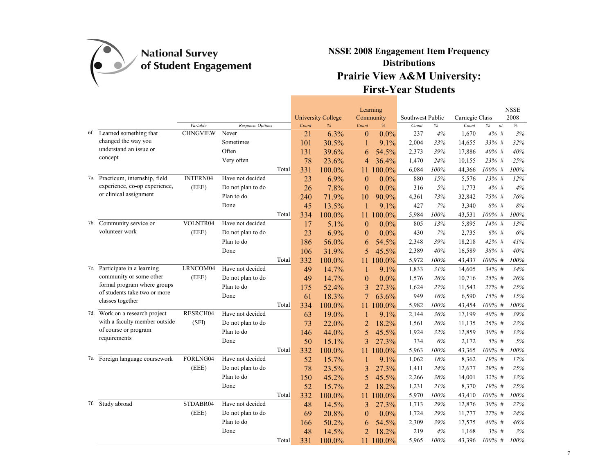

|                                                  |                 |                         |       |       | <b>University College</b> | Learning       | Community | Southwest Public |      | Carnegie Class |            | <b>NSSE</b><br>2008 |
|--------------------------------------------------|-----------------|-------------------------|-------|-------|---------------------------|----------------|-----------|------------------|------|----------------|------------|---------------------|
|                                                  | Variable        | <b>Response Options</b> |       | Count | $\frac{9}{6}$             | Count          | $\%$      | Count            | $\%$ | Count          | $\%$<br>nt | $\frac{9}{6}$       |
| 6f. Learned something that                       | <b>CHNGVIEW</b> | Never                   |       | 21    | 6.3%                      | $\theta$       | $0.0\%$   | 237              | 4%   | 1,670          | 4%#        | 3%                  |
| changed the way you                              |                 | Sometimes               |       | 101   | 30.5%                     | 1              | 9.1%      | 2,004            | 33%  | 14,655         | 33% #      | 32%                 |
| understand an issue or                           |                 | Often                   |       | 131   | 39.6%                     | 6              | 54.5%     | 2,373            | 39%  | 17,886         | 40% #      | 40%                 |
| concept                                          |                 | Very often              |       | 78    | 23.6%                     | $\overline{4}$ | 36.4%     | 1,470            | 24%  | 10,155         | 23% #      | 25%                 |
|                                                  |                 |                         | Total | 331   | 100.0%                    | 11             | 100.0%    | 6,084            | 100% | 44,366         | 100% #     | 100%                |
| 7a. Practicum, internship, field                 | <b>INTERN04</b> | Have not decided        |       | 23    | 6.9%                      | $\theta$       | $0.0\%$   | 880              | 15%  | 5,576          | $13\%$ #   | 12%                 |
| experience, co-op experience,                    | (EEE)           | Do not plan to do       |       | 26    | 7.8%                      | $\theta$       | $0.0\%$   | 316              | 5%   | 1,773          | 4%#        | 4%                  |
| or clinical assignment                           |                 | Plan to do              |       | 240   | 71.9%                     | 10             | 90.9%     | 4,361            | 73%  | 32,842         | 75% #      | 76%                 |
|                                                  |                 | Done                    |       | 45    | 13.5%                     | 1              | 9.1%      | 427              | 7%   | 3,340          | 8% #       | 8%                  |
|                                                  |                 |                         | Total | 334   | 100.0%                    | 11             | 100.0%    | 5,984            | 100% | 43,531         | 100% #     | 100%                |
| 7b. Community service or                         | VOLNTR04        | Have not decided        |       | 17    | 5.1%                      | $\theta$       | $0.0\%$   | 805              | 13%  | 5,895          | 14% #      | 13%                 |
| volunteer work                                   | (EEE)           | Do not plan to do       |       | 23    | 6.9%                      | $\theta$       | $0.0\%$   | 430              | 7%   | 2,735          | 6%#        | 6%                  |
|                                                  |                 | Plan to do              |       | 186   | 56.0%                     | 6              | 54.5%     | 2,348            | 39%  | 18,218         | 42% #      | 41%                 |
|                                                  |                 | Done                    |       | 106   | 31.9%                     | 5              | 45.5%     | 2,389            | 40%  | 16,589         | 38% #      | 40%                 |
|                                                  |                 |                         | Total | 332   | 100.0%                    | 11             | 100.0%    | 5,972            | 100% | 43,437         | 100% #     | 100%                |
| 7c. Participate in a learning                    | LRNCOM04        | Have not decided        |       | 49    | 14.7%                     | 1              | 9.1%      | 1,833            | 31%  | 14,605         | 34% #      | 34%                 |
| community or some other                          | (EEE)           | Do not plan to do       |       | 49    | 14.7%                     | $\overline{0}$ | 0.0%      | 1,576            | 26%  | 10,716         | 25% #      | 26%                 |
| formal program where groups                      |                 | Plan to do              |       | 175   | 52.4%                     | 3              | 27.3%     | 1,624            | 27%  | 11,543         | 27% #      | 25%                 |
| of students take two or more<br>classes together |                 | Done                    |       | 61    | 18.3%                     | 7              | 63.6%     | 949              | 16%  | 6,590          | 15% #      | 15%                 |
|                                                  |                 |                         | Total | 334   | 100.0%                    | 11.            | 100.0%    | 5,982            | 100% | 43,454         | 100% #     | 100%                |
| 7d. Work on a research project                   | RESRCH04        | Have not decided        |       | 63    | 19.0%                     | 1              | 9.1%      | 2,144            | 36%  | 17,199         | 40% #      | 39%                 |
| with a faculty member outside                    | (SFI)           | Do not plan to do       |       | 73    | 22.0%                     | $\overline{2}$ | 18.2%     | 1,561            | 26%  | 11,135         | 26% #      | 23%                 |
| of course or program                             |                 | Plan to do              |       | 146   | 44.0%                     | 5              | 45.5%     | 1,924            | 32%  | 12,859         | 30% #      | 33%                 |
| requirements                                     |                 | Done                    |       | 50    | 15.1%                     | 3              | 27.3%     | 334              | $6%$ | 2,172          | 5% #       | 5%                  |
|                                                  |                 |                         | Total | 332   | 100.0%                    | 11             | 100.0%    | 5,963            | 100% | 43,365         | $100\%$ #  | 100%                |
| 7e. Foreign language coursework                  | FORLNG04        | Have not decided        |       | 52    | 15.7%                     | 1              | 9.1%      | 1,062            | 18%  | 8,362          | 19% #      | 17%                 |
|                                                  | (EEE)           | Do not plan to do       |       | 78    | 23.5%                     | 3              | 27.3%     | 1,411            | 24%  | 12,677         | 29% #      | 25%                 |
|                                                  |                 | Plan to do              |       | 150   | 45.2%                     | 5              | 45.5%     | 2,266            | 38%  | 14,001         | 32% #      | 33%                 |
|                                                  |                 | Done                    |       | 52    | 15.7%                     | $\overline{2}$ | 18.2%     | 1,231            | 21%  | 8,370          | 19% #      | 25%                 |
|                                                  |                 |                         | Total | 332   | 100.0%                    | 11             | 100.0%    | 5,970            | 100% | 43,410         | 100% #     | 100%                |
| 7f. Study abroad                                 | STDABR04        | Have not decided        |       | 48    | 14.5%                     | 3              | 27.3%     | 1,713            | 29%  | 12,876         | 30% #      | 27%                 |
|                                                  | (EEE)           | Do not plan to do       |       | 69    | 20.8%                     | $\overline{0}$ | 0.0%      | 1,724            | 29%  | 11,777         | 27% #      | 24%                 |
|                                                  |                 | Plan to do              |       | 166   | 50.2%                     | 6              | 54.5%     | 2,309            | 39%  | 17,575         | 40% #      | 46%                 |
|                                                  |                 | Done                    |       | 48    | 14.5%                     | $\overline{2}$ | 18.2%     | 219              | 4%   | 1,168          | 3%#        | 3%                  |
|                                                  |                 |                         | Total | 331   | 100.0%                    | 11             | 100.0%    | 5,965            | 100% | 43,396         | 100% #     | 100%                |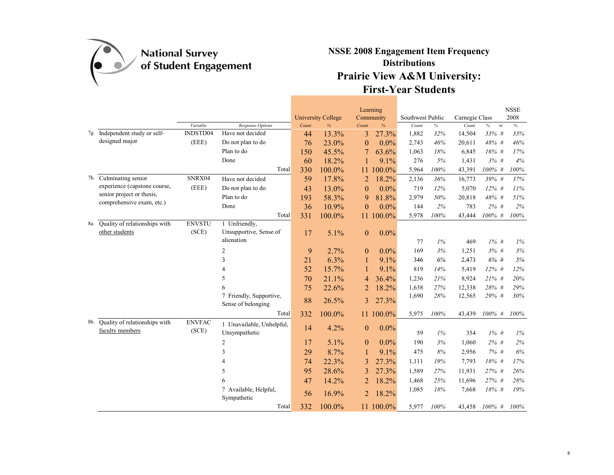

|     |                                                        |                        |                                                       |       | <b>University College</b> |                | Learning<br>Community | Southwest Public |        | Carnegie Class |            | <b>NSSE</b><br>2008 |
|-----|--------------------------------------------------------|------------------------|-------------------------------------------------------|-------|---------------------------|----------------|-----------------------|------------------|--------|----------------|------------|---------------------|
|     |                                                        | Variable               | Response Options                                      | Count | $\frac{9}{6}$             | Count          | %                     | Count            | $\%$   | Count          | $\%$<br>nt | $\%$                |
|     | 7g. Independent study or self-                         | INDSTD04               | Have not decided                                      | 44    | 13.3%                     | 3              | 27.3%                 | 1,882            | 32%    | 14,504         | $33\%$ #   | 33%                 |
|     | designed major                                         | (EEE)                  | Do not plan to do                                     | 76    | 23.0%                     | $\mathbf{0}$   | $0.0\%$               | 2,743            | 46%    | 20,611         | 48% #      | 46%                 |
|     |                                                        |                        | Plan to do                                            | 150   | 45.5%                     |                | 63.6%                 | 1,063            | 18%    | 6,845          | 16% #      | 17%                 |
|     |                                                        |                        | Done                                                  | 60    | 18.2%                     |                | 9.1%                  | 276              | 5%     | 1,431          | 3%#        | 4%                  |
|     |                                                        |                        | Total                                                 | 330   | 100.0%                    | 11             | 100.0%                | 5,964            | 100%   | 43,391         | 100% #     | 100%                |
|     | 7h. Culminating senior                                 | SNRX04                 | Have not decided                                      | 59    | 17.8%                     | $\overline{2}$ | 18.2%                 | 2,136            | 36%    | 16,773         | 39% #      | 37%                 |
|     | experience (capstone course,                           | (EEE)                  | Do not plan to do                                     | 43    | 13.0%                     | $\mathbf{0}$   | $0.0\%$               | 719              | 12%    | 5,070          | $12\%$ #   | 11%                 |
|     | senior project or thesis,<br>comprehensive exam, etc.) |                        | Plan to do                                            | 193   | 58.3%                     | 9              | 81.8%                 | 2,979            | 50%    | 20,818         | 48% #      | 51%                 |
|     |                                                        |                        | Done                                                  | 36    | 10.9%                     | $\theta$       | $0.0\%$               | 144              | 2%     | 783            | $2\%$ #    | 2%                  |
|     |                                                        |                        | Total                                                 | 331   | 100.0%                    | 11             | 100.0%                | 5,978            | 100%   | 43,444         | $100\%$ #  | 100%                |
| 8a. | Quality of relationships with<br>other students        | <b>ENVSTU</b><br>(SCE) | 1 Unfriendly,<br>Unsupportive, Sense of<br>alienation | 17    | 5.1%                      | $\mathbf{0}$   | 0.0%                  |                  |        |                |            |                     |
|     |                                                        |                        |                                                       |       |                           |                |                       | 77               | $1\%$  | 469            | $1\%$ #    | 1%                  |
|     |                                                        |                        | $\overline{c}$                                        | 9     | 2.7%                      | $\theta$       | 0.0%                  | 169              | 3%     | 1,251          | 3%#        | 3%                  |
|     |                                                        |                        | 3                                                     | 21    | 6.3%                      | 1              | 9.1%                  | 346              | 6%     | 2,473          | $6\% +$    | 5%                  |
|     |                                                        |                        | 4                                                     | 52    | 15.7%                     |                | 9.1%                  | 819              | 14%    | 5,419          | $12\%$ #   | 12%                 |
|     |                                                        |                        | 5                                                     | 70    | 21.1%                     | 4              | 36.4%                 | 1,236            | 21%    | 8,924          | $21\%$ #   | 20%                 |
|     |                                                        |                        | 6                                                     | 75    | 22.6%                     | $\overline{2}$ | 18.2%                 | 1,638            | 27%    | 12,338         | $28%$ #    | 29%                 |
|     |                                                        |                        | 7 Friendly, Supportive,<br>Sense of belonging         | 88    | 26.5%                     | 3              | 27.3%                 | 1,690            | 28%    | 12,565         | 29% #      | 30%                 |
|     |                                                        |                        | Total                                                 | 332   | 100.0%                    |                | 11 100.0%             | 5,975            | 100%   | 43,439         | 100% #     | 100%                |
| 8b. | Quality of relationships with<br>faculty members       | <b>ENVFAC</b><br>(SCE) | 1 Unavailable, Unhelpful,<br>Unsympathetic            | 14    | 4.2%                      | $\mathbf{0}$   | 0.0%                  | 59               | $1\%$  | 354            | $1\%$ #    | 1%                  |
|     |                                                        |                        | 2                                                     | 17    | 5.1%                      | $\mathbf{0}$   | 0.0%                  | 190              | 3%     | 1,060          | $2\%$ #    | 2%                  |
|     |                                                        |                        | 3                                                     | 29    | 8.7%                      | 1              | 9.1%                  | 475              | 8%     | 2,956          | 7% #       | 6%                  |
|     |                                                        |                        | 4                                                     | 74    | 22.3%                     | 3              | 27.3%                 | 1,111            | 19%    | 7,793          | 18% #      | 17%                 |
|     |                                                        |                        | 5                                                     | 95    | 28.6%                     | 3              | 27.3%                 | 1,589            | 27%    | 11,931         | $27\%$ #   | 26%                 |
|     |                                                        |                        | 6                                                     | 47    | 14.2%                     | $\overline{2}$ | 18.2%                 | 1,468            | 25%    | 11,696         | 27% #      | 28%                 |
|     |                                                        |                        | 7 Available, Helpful,<br>Sympathetic                  | 56    | 16.9%                     | $\overline{2}$ | 18.2%                 | 1,085            | $18\%$ | 7,668          | 18% #      | 19%                 |
|     |                                                        |                        | Total                                                 | 332   | 100.0%                    |                | 11 100.0%             | 5,977            | 100%   | 43,458         | $100\%$ #  | 100%                |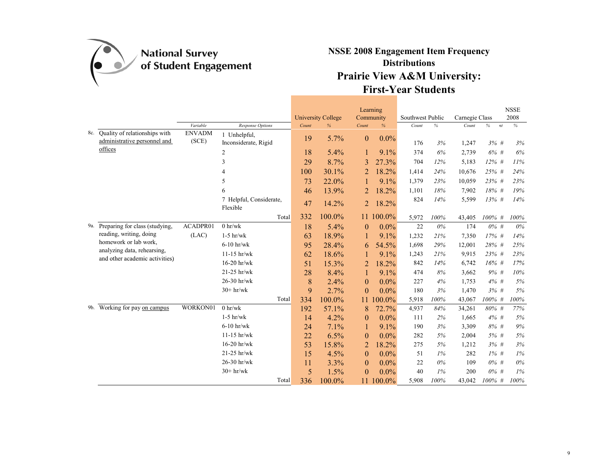

|     |                                                               |                        |                                      |       | <b>University College</b> |                | Learning<br>Community | Southwest Public |       | Carnegie Class |                     | <b>NSSE</b><br>2008 |
|-----|---------------------------------------------------------------|------------------------|--------------------------------------|-------|---------------------------|----------------|-----------------------|------------------|-------|----------------|---------------------|---------------------|
|     |                                                               | Variable               | Response Options                     | Count | %                         | Count          | $\%$                  | Count            | $\%$  | Count          | $\%$<br>$\sqrt{nt}$ | $\%$                |
| 8c. | Quality of relationships with<br>administrative personnel and | <b>ENVADM</b><br>(SCE) | 1 Unhelpful,<br>Inconsiderate, Rigid | 19    | 5.7%                      | $\theta$       | $0.0\%$               | 176              | 3%    |                | 3%#                 | 3%                  |
|     | offices                                                       |                        |                                      |       |                           |                |                       |                  |       | 1,247          |                     |                     |
|     |                                                               |                        | 2                                    | 18    | 5.4%                      |                | 9.1%                  | 374              | 6%    | 2,739          | 6% #                | 6%                  |
|     |                                                               |                        | 3                                    | 29    | 8.7%                      | 3              | 27.3%                 | 704              | 12%   | 5,183          | $12\%$ #            | 11%                 |
|     |                                                               |                        | $\overline{4}$                       | 100   | 30.1%                     | $\overline{2}$ | 18.2%                 | 1,414            | 24%   | 10,676         | 25% #               | 24%                 |
|     |                                                               |                        | 5                                    | 73    | 22.0%                     |                | 9.1%                  | 1,379            | 23%   | 10,059         | 23% #               | 23%                 |
|     |                                                               |                        | 6                                    | 46    | 13.9%                     | $\overline{2}$ | 18.2%                 | 1,101            | 18%   | 7,902          | 18% #               | 19%                 |
|     |                                                               |                        | 7 Helpful, Considerate,<br>Flexible  | 47    | 14.2%                     | 2              | 18.2%                 | 824              | 14%   | 5,599          | 13% #               | 14%                 |
|     |                                                               |                        | Total                                | 332   | 100.0%                    | 11.            | $100.0\%$             | 5,972            | 100%  | 43,405         | $100\%$ #           | 100%                |
|     | 9a. Preparing for class (studying,                            | ACADPR01               | $0 \space hr/wk$                     | 18    | 5.4%                      | $\overline{0}$ | $0.0\%$               | 22               | $0\%$ | 174            | $0\%$ #             | $0\%$               |
|     | reading, writing, doing                                       | (LAC)                  | $1-5$ hr/wk                          | 63    | 18.9%                     | 1              | 9.1%                  | 1,232            | 21%   | 7,350          | 17% #               | 14%                 |
|     | homework or lab work,                                         |                        | $6-10$ hr/wk                         | 95    | 28.4%                     | 6              | 54.5%                 | 1,698            | 29%   | 12,001         | 28% #               | 25%                 |
|     | analyzing data, rehearsing,                                   |                        | $11-15$ hr/wk                        | 62    | 18.6%                     |                | 9.1%                  | 1,243            | 21%   | 9,915          | 23% #               | 23%                 |
|     | and other academic activities)                                |                        | $16-20$ hr/wk                        | 51    | 15.3%                     | $\overline{2}$ | 18.2%                 | 842              | 14%   | 6,742          | $16%$ #             | 17%                 |
|     |                                                               |                        | $21-25$ hr/wk                        | 28    | 8.4%                      | 1              | 9.1%                  | 474              | 8%    | 3,662          | 9% #                | 10%                 |
|     |                                                               |                        | 26-30 hr/wk                          | 8     | 2.4%                      | $\theta$       | $0.0\%$               | 227              | 4%    | 1,753          | $4\%$ #             | 5%                  |
|     |                                                               |                        | $30+hr/wk$                           | 9     | 2.7%                      | $\theta$       | $0.0\%$               | 180              | 3%    | 1,470          | 3%#                 | 5%                  |
|     |                                                               |                        | Total                                | 334   | 100.0%                    | 11             | $100.0\%$             | 5,918            | 100%  | 43,067         | $100\%$ #           | 100%                |
|     | 9b. Working for pay on campus                                 | WORKON01               | 0 h r/wk                             | 192   | 57.1%                     | 8              | 72.7%                 | 4,937            | 84%   | 34,261         | 80% #               | 77%                 |
|     |                                                               |                        | $1-5$ hr/wk                          | 14    | 4.2%                      | $\theta$       | $0.0\%$               | 111              | 2%    | 1,665          | $4\%$ #             | 5%                  |
|     |                                                               |                        | $6-10$ hr/wk                         | 24    | 7.1%                      | 1              | 9.1%                  | 190              | 3%    | 3,309          | 8% #                | $9\%$               |
|     |                                                               |                        | $11-15$ hr/wk                        | 22    | 6.5%                      | $\theta$       | $0.0\%$               | 282              | 5%    | 2,004          | $5%$ #              | 5%                  |
|     |                                                               |                        | $16-20$ hr/wk                        | 53    | 15.8%                     | $\overline{2}$ | 18.2%                 | 275              | 5%    | 1,212          | 3%#                 | $3\%$               |
|     |                                                               |                        | 21-25 hr/wk                          | 15    | 4.5%                      | $\theta$       | 0.0%                  | 51               | 1%    | 282            | $1\%$ #             | 1%                  |
|     |                                                               |                        | 26-30 hr/wk                          | 11    | 3.3%                      | $\theta$       | $0.0\%$               | 22               | 0%    | 109            | $0\%$ #             | $0\%$               |
|     |                                                               |                        | $30+hr/wk$                           | 5     | 1.5%                      | $\theta$       | $0.0\%$               | 40               | 1%    | 200            | $0\%$ #             | $1\%$               |
|     |                                                               |                        | Total                                | 336   | 100.0%                    | 11             | 100.0%                | 5,908            | 100%  | 43,042         | $100\%$ #           | 100%                |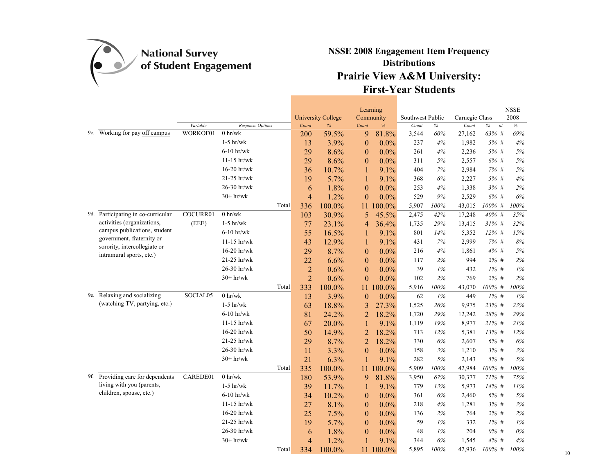

|                                                          |          |                          |       |                |                                |                  | Learning          |                           |       |                         |            | $_{\rm NSSE}$ |
|----------------------------------------------------------|----------|--------------------------|-------|----------------|--------------------------------|------------------|-------------------|---------------------------|-------|-------------------------|------------|---------------|
|                                                          | Variable | Response Options         |       | Count          | <b>University College</b><br>% | Count            | Community<br>$\%$ | Southwest Public<br>Count | $\%$  | Carnegie Class<br>Count | $\%$<br>nt | 2008<br>$\%$  |
| 9c. Working for pay off campus                           | WORKOF01 | $0$ hr/wk                |       | 200            | 59.5%                          | 9                | 81.8%             | 3,544                     | 60%   | 27,162                  | 63% #      | 69%           |
|                                                          |          | $1-5$ hr/wk              |       | 13             | 3.9%                           | $\theta$         | 0.0%              | 237                       | 4%    | 1,982                   | 5% #       | $4\%$         |
|                                                          |          | $6-10$ hr/wk             |       | 29             | 8.6%                           | $\theta$         | $0.0\%$           | 261                       | 4%    | 2,236                   | 5% #       | 5%            |
|                                                          |          | $11-15$ hr/wk            |       | 29             | 8.6%                           | $\theta$         | $0.0\%$           | 311                       | 5%    | 2,557                   | 6% #       | $5\%$         |
|                                                          |          | $16-20$ hr/wk            |       | 36             | 10.7%                          | 1                | 9.1%              | 404                       | 7%    | 2,984                   | 7% #       | $5\%$         |
|                                                          |          | 21-25 hr/wk              |       | 19             | 5.7%                           | 1                | 9.1%              | 368                       | 6%    | 2,227                   | 5% #       | $4\%$         |
|                                                          |          | 26-30 hr/wk              |       | 6              | 1.8%                           | $\theta$         | $0.0\%$           | 253                       | 4%    | 1,338                   | 3%#        | $2\%$         |
|                                                          |          | $30+hr/wk$               |       | $\overline{4}$ | 1.2%                           | $\mathbf{0}$     | $0.0\%$           | 529                       | $9\%$ | 2,529                   | 6%#        | $6\%$         |
|                                                          |          |                          | Total | 336            | 100.0%                         | 11               | 100.0%            | 5,907                     | 100%  | 43,015                  | $100\%$ #  | $100\%$       |
| 9d. Participating in co-curricular                       | COCURR01 | $0 \text{ hr}/\text{wk}$ |       | 103            | 30.9%                          | 5                | 45.5%             | 2,475                     | 42%   | 17,248                  | 40% #      | 35%           |
| activities (organizations,                               | (EEE)    | $1-5$ hr/wk              |       | 77             | 23.1%                          | 4                | 36.4%             | 1,735                     | 29%   | 13,415                  | $31\%$ #   | 32%           |
| campus publications, student                             |          | $6-10$ hr/wk             |       | 55             | 16.5%                          | 1                | 9.1%              | 801                       | 14%   | 5,352                   | $12\%$ #   | 15%           |
| government, fraternity or                                |          | $11-15$ hr/wk            |       | 43             | 12.9%                          | 1                | 9.1%              | 431                       | 7%    | 2,999                   | 7% #       | $8\%$         |
| sorority, intercollegiate or<br>intramural sports, etc.) |          | $16-20$ hr/wk            |       | 29             | 8.7%                           | $\mathbf{0}$     | $0.0\%$           | 216                       | 4%    | 1,861                   | 4% #       | 5%            |
|                                                          |          | 21-25 hr/wk              |       | 22             | 6.6%                           | $\mathbf{0}$     | $0.0\%$           | 117                       | 2%    | 994                     | $2\%$ #    | $2\%$         |
|                                                          |          | 26-30 hr/wk              |       | $\overline{2}$ | 0.6%                           | $\theta$         | $0.0\%$           | 39                        | 1%    | 432                     | $1\%$ #    | $1\%$         |
|                                                          |          | $30+hr/wk$               |       | $\overline{2}$ | 0.6%                           | $\mathbf{0}$     | $0.0\%$           | 102                       | 2%    | 769                     | $2\%$ #    | 2%            |
|                                                          |          |                          | Total | 333            | 100.0%                         | 11               | 100.0%            | 5,916                     | 100%  | 43,070                  | $100\%$ #  | 100%          |
| 9e. Relaxing and socializing                             | SOCIAL05 | $0$ hr/wk $\,$           |       | 13             | 3.9%                           | $\boldsymbol{0}$ | $0.0\%$           | 62                        | 1%    | 449                     | $1\%$ #    | $1\%$         |
| (watching TV, partying, etc.)                            |          | $1-5$ hr/wk              |       | 63             | 18.8%                          | 3                | 27.3%             | 1,525                     | 26%   | 9,975                   | 23% #      | 23%           |
|                                                          |          | $6-10$ hr/wk             |       | 81             | 24.2%                          | $\overline{2}$   | 18.2%             | 1,720                     | 29%   | 12,242                  | 28% #      | 29%           |
|                                                          |          | $11-15$ hr/wk            |       | 67             | 20.0%                          | 1                | 9.1%              | 1,119                     | 19%   | 8,977                   | $21\%$ #   | 21%           |
|                                                          |          | $16-20$ hr/wk            |       | 50             | 14.9%                          | $\overline{2}$   | 18.2%             | 713                       | 12%   | 5,381                   | 13% #      | $12\%$        |
|                                                          |          | $21-25$ hr/wk            |       | 29             | 8.7%                           | $\overline{2}$   | 18.2%             | 330                       | 6%    | 2,607                   | 6% #       | 6%            |
|                                                          |          | 26-30 hr/wk              |       | 11             | 3.3%                           | $\theta$         | $0.0\%$           | 158                       | 3%    | 1,210                   | 3%#        | 3%            |
|                                                          |          | $30+hr/wk$               |       | 21             | 6.3%                           | $\mathbf{1}$     | 9.1%              | 282                       | 5%    | 2,143                   | 5% #       | $5\%$         |
|                                                          |          |                          | Total | 335            | 100.0%                         | 11               | 100.0%            | 5,909                     | 100%  | 42,984                  | $100\%$ #  | $100\%$       |
| 9f. Providing care for dependents                        | CAREDE01 | $0$ hr/wk $\,$           |       | 180            | 53.9%                          | 9                | 81.8%             | 3,950                     | 67%   | 30,377                  | 71% #      | 75%           |
| living with you (parents,                                |          | $1-5$ hr/wk              |       | 39             | 11.7%                          | 1                | 9.1%              | 779                       | 13%   | 5,973                   | 14% #      | 11%           |
| children, spouse, etc.)                                  |          | $6-10$ hr/wk             |       | 34             | 10.2%                          | $\theta$         | $0.0\%$           | 361                       | 6%    | 2,460                   | 6% #       | $5\%$         |
|                                                          |          | $11-15$ hr/wk            |       | 27             | 8.1%                           | $\theta$         | $0.0\%$           | 218                       | 4%    | 1,281                   | 3%#        | $3\%$         |
|                                                          |          | $16-20$ hr/wk            |       | 25             | 7.5%                           | $\theta$         | $0.0\%$           | 136                       | 2%    | 764                     | $2\%$ #    | 2%            |
|                                                          |          | 21-25 hr/wk              |       | 19             | 5.7%                           | $\mathbf{0}$     | $0.0\%$           | 59                        | 1%    | 332                     | $1\%$ #    | $1\%$         |
|                                                          |          | 26-30 hr/wk              |       | 6              | 1.8%                           | $\theta$         | $0.0\%$           | 48                        | 1%    | 204                     | 0% #       | $0\%$         |
|                                                          |          | $30+hr/wk$               |       | $\overline{4}$ | 1.2%                           | 1                | 9.1%              | 344                       | 6%    | 1,545                   | 4%#        | 4%            |
|                                                          |          |                          | Total | 334            | 100.0%                         | 11               | 100.0%            | 5,895                     | 100%  | 42,936                  | $100\%$ #  | 100%          |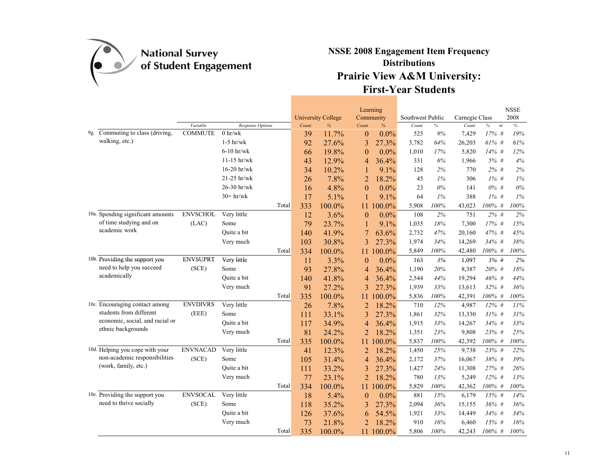

|     |                                   |                 |                  |       | <b>University College</b> |                  | Learning<br>Community | Southwest Public |       | Carnegie Class |            | <b>NSSE</b><br>2008 |
|-----|-----------------------------------|-----------------|------------------|-------|---------------------------|------------------|-----------------------|------------------|-------|----------------|------------|---------------------|
|     |                                   | Variable        | Response Options | Count | %                         | Count            | $\%$                  | Count            | $\%$  | Count          | $\%$<br>nt | $\%$                |
| 9g. | Commuting to class (driving,      | <b>COMMUTE</b>  | $0 \space$ hr/wk | 39    | 11.7%                     | $\boldsymbol{0}$ | $0.0\%$               | 525              | 9%    | 7,429          | 17% #      | 19%                 |
|     | walking, etc.)                    |                 | $1-5$ hr/wk      | 92    | 27.6%                     | 3                | 27.3%                 | 3,782            | 64%   | 26,203         | 61% #      | 61%                 |
|     |                                   |                 | $6-10$ hr/wk     | 66    | 19.8%                     | $\theta$         | $0.0\%$               | 1,010            | 17%   | 5,820          | $14\%$ #   | 12%                 |
|     |                                   |                 | $11-15$ hr/wk    | 43    | 12.9%                     | 4                | 36.4%                 | 331              | 6%    | 1,966          | 5% #       | 4%                  |
|     |                                   |                 | $16-20$ hr/wk    | 34    | 10.2%                     |                  | 9.1%                  | 128              | 2%    | 770            | $2\%$ #    | $2\%$               |
|     |                                   |                 | 21-25 hr/wk      | 26    | 7.8%                      | $\overline{2}$   | 18.2%                 | 45               | 1%    | 306            | $1\%$ #    | $1\%$               |
|     |                                   |                 | 26-30 hr/wk      | 16    | 4.8%                      | $\theta$         | $0.0\%$               | 23               | $0\%$ | 141            | $0\%$ #    | $0\%$               |
|     |                                   |                 | $30+hr/wk$       | 17    | 5.1%                      | 1                | 9.1%                  | 64               | 1%    | 388            | $1\%$ #    | 1%                  |
|     |                                   |                 | Total            | 333   | 100.0%                    | 11               | 100.0%                | 5,908            | 100%  | 43,023         | $100\%$ #  | 100%                |
|     | 10a. Spending significant amounts | <b>ENVSCHOL</b> | Very little      | 12    | 3.6%                      | $\theta$         | $0.0\%$               | 108              | $2\%$ | 751            | $2\%$ #    | $2\%$               |
|     | of time studying and on           | (LAC)           | Some             | 79    | 23.7%                     | 1                | 9.1%                  | 1,035            | 18%   | 7,300          | 17% #      | 15%                 |
|     | academic work                     |                 | Ouite a bit      | 140   | 41.9%                     |                  | 63.6%                 | 2,732            | 47%   | 20,160         | 47% #      | 45%                 |
|     |                                   |                 | Very much        | 103   | 30.8%                     | 3                | 27.3%                 | 1,974            | 34%   | 14,269         | 34% #      | 38%                 |
|     |                                   |                 | Total            | 334   | 100.0%                    | 11               | 100.0%                | 5,849            | 100%  | 42,480         | 100% #     | $100\%$             |
|     | 10b. Providing the support you    | <b>ENVSUPRT</b> | Very little      | 11    | 3.3%                      | $\Omega$         | $0.0\%$               | 163              | 3%    | 1,097          | 3%#        | 2%                  |
|     | need to help you succeed          | (SCE)           | Some             | 93    | 27.8%                     | 4                | 36.4%                 | 1,190            | 20%   | 8,387          | 20% #      | 18%                 |
|     | academically                      |                 | Ouite a bit      | 140   | 41.8%                     | 4                | 36.4%                 | 2,544            | 44%   | 19,294         | 46% #      | 44%                 |
|     |                                   |                 | Very much        | 91    | 27.2%                     | 3                | 27.3%                 | 1,939            | 33%   | 13,613         | 32% #      | 36%                 |
|     |                                   |                 | Total            | 335   | 100.0%                    | 11               | 100.0%                | 5,836            | 100%  | 42,391         | 100% #     | $100\%$             |
|     | 10c. Encouraging contact among    | <b>ENVDIVRS</b> | Very little      | 26    | 7.8%                      | 2                | 18.2%                 | 710              | 12%   | 4,987          | $12\%$ #   | 11%                 |
|     | students from different           | (EEE)           | Some             | 111   | 33.1%                     | 3                | 27.3%                 | 1,861            | 32%   | 13,330         | $31\%$ #   | 31%                 |
|     | economic, social, and racial or   |                 | Quite a bit      | 117   | 34.9%                     | 4                | 36.4%                 | 1,915            | 33%   | 14,267         | $34\%$ #   | 33%                 |
|     | ethnic backgrounds                |                 | Very much        | 81    | 24.2%                     | $\overline{2}$   | 18.2%                 | 1,351            | 23%   | 9,808          | 23% #      | $25\%$              |
|     |                                   |                 | Total            | 335   | 100.0%                    | 11               | $100.0\%$             | 5,837            | 100%  | 42,392         | 100% #     | 100%                |
|     | 10d. Helping you cope with your   | <b>ENVNACAD</b> | Very little      | 41    | 12.3%                     | 2                | 18.2%                 | 1,450            | 25%   | 9,738          | 23% #      | 22%                 |
|     | non-academic responsibilities     | (SCE)           | Some             | 105   | 31.4%                     | 4                | 36.4%                 | 2,172            | 37%   | 16,067         | 38% #      | 39%                 |
|     | (work, family, etc.)              |                 | Quite a bit      | 111   | 33.2%                     | 3                | 27.3%                 | 1,427            | 24%   | 11,308         | 27% #      | 26%                 |
|     |                                   |                 | Very much        | 77    | 23.1%                     | $\overline{2}$   | 18.2%                 | 780              | 13%   | 5,249          | $12\%$ #   | 13%                 |
|     |                                   |                 | Total            | 334   | 100.0%                    | 11               | 100.0%                | 5,829            | 100%  | 42,362         | 100% #     | 100%                |
|     | 10e. Providing the support you    | <b>ENVSOCAL</b> | Very little      | 18    | 5.4%                      | $\boldsymbol{0}$ | $0.0\%$               | 881              | 15%   | 6,179          | 15% #      | 14%                 |
|     | need to thrive socially           | (SCE)           | Some             | 118   | 35.2%                     | 3                | 27.3%                 | 2,094            | 36%   | 15,155         | 36% #      | 36%                 |
|     |                                   |                 | Ouite a bit      | 126   | 37.6%                     | 6                | 54.5%                 | 1,921            | 33%   | 14,449         | 34% #      | 34%                 |
|     |                                   |                 | Very much        | 73    | 21.8%                     | 2                | 18.2%                 | 910              | 16%   | 6,460          | $15%$ #    | 16%                 |
|     |                                   |                 | Total            | 335   | 100.0%                    | 11               | 100.0%                | 5,806            | 100%  | 42,243         | $100\%$ #  | 100%                |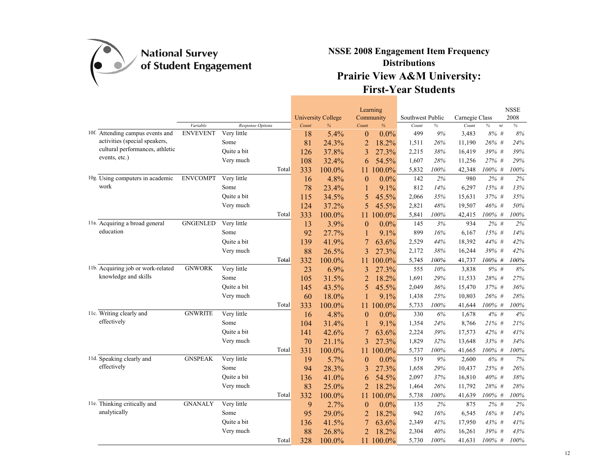

|                                    |                 |                  |       |       | <b>University College</b> |                  | Learning<br>Community | Southwest Public |      | Carnegie Class |            | <b>NSSE</b><br>2008 |
|------------------------------------|-----------------|------------------|-------|-------|---------------------------|------------------|-----------------------|------------------|------|----------------|------------|---------------------|
|                                    | Variable        | Response Options |       | Count | %                         | Count            | $\%$                  | Count            | $\%$ | Count          | $\%$<br>nt | $\%$                |
| 10f. Attending campus events and   | <b>ENVEVENT</b> | Very little      |       | 18    | 5.4%                      | $\boldsymbol{0}$ | 0.0%                  | 499              | 9%   | 3,483          | 8% #       | $8\%$               |
| activities (special speakers,      |                 | Some             |       | 81    | 24.3%                     | $\overline{2}$   | 18.2%                 | 1,511            | 26%  | 11,190         | 26% #      | 24%                 |
| cultural performances, athletic    |                 | Ouite a bit      |       | 126   | 37.8%                     | 3                | 27.3%                 | 2,215            | 38%  | 16,419         | 39% #      | 39%                 |
| events, etc.)                      |                 | Very much        |       | 108   | 32.4%                     | 6                | 54.5%                 | 1,607            | 28%  | 11,256         | 27% #      | 29%                 |
|                                    |                 |                  | Total | 333   | 100.0%                    | 11               | 100.0%                | 5,832            | 100% | 42,348         | $100\%$ #  | 100%                |
| 10g. Using computers in academic   | <b>ENVCOMPT</b> | Very little      |       | 16    | 4.8%                      | $\theta$         | $0.0\%$               | 142              | 2%   | 980            | $2\%$ #    | 2%                  |
| work                               |                 | Some             |       | 78    | 23.4%                     |                  | 9.1%                  | 812              | 14%  | 6,297          | $15%$ #    | 13%                 |
|                                    |                 | Ouite a bit      |       | 115   | 34.5%                     | 5                | 45.5%                 | 2,066            | 35%  | 15,631         | 37% #      | 35%                 |
|                                    |                 | Very much        |       | 124   | 37.2%                     | 5                | 45.5%                 | 2,821            | 48%  | 19,507         | $46\%$ #   | 50%                 |
|                                    |                 |                  | Total | 333   | 100.0%                    | 11               | 100.0%                | 5,841            | 100% | 42,415         | $100\%$ #  | 100%                |
| 11a. Acquiring a broad general     | <b>GNGENLED</b> | Very little      |       | 13    | 3.9%                      | $\theta$         | $0.0\%$               | 145              | 3%   | 934            | $2\%$ #    | 2%                  |
| education                          |                 | Some             |       | 92    | 27.7%                     | $\mathbf{1}$     | 9.1%                  | 899              | 16%  | 6,167          | 15% #      | 14%                 |
|                                    |                 | Ouite a bit      |       | 139   | 41.9%                     | 7                | 63.6%                 | 2,529            | 44%  | 18,392         | 44% #      | 42%                 |
|                                    |                 | Very much        |       | 88    | 26.5%                     | 3                | 27.3%                 | 2,172            | 38%  | 16,244         | 39% #      | 42%                 |
|                                    |                 |                  | Total | 332   | 100.0%                    | 11               | 100.0%                | 5,745            | 100% | 41,737         | 100% #     | 100%                |
| 11b. Acquiring job or work-related | <b>GNWORK</b>   | Very little      |       | 23    | 6.9%                      | 3                | 27.3%                 | 555              | 10%  | 3,838          | 9% #       | $8\%$               |
| knowledge and skills               |                 | Some             |       | 105   | 31.5%                     | $\overline{2}$   | 18.2%                 | 1,691            | 29%  | 11,533         | 28% #      | 27%                 |
|                                    |                 | Ouite a bit      |       | 145   | 43.5%                     | 5                | 45.5%                 | 2,049            | 36%  | 15,470         | 37% #      | 36%                 |
|                                    |                 | Very much        |       | 60    | 18.0%                     |                  | 9.1%                  | 1,438            | 25%  | 10,803         | 26% #      | 28%                 |
|                                    |                 |                  | Total | 333   | 100.0%                    | 11.              | 100.0%                | 5,733            | 100% | 41,644         | 100% #     | $100\%$             |
| 11c. Writing clearly and           | <b>GNWRITE</b>  | Very little      |       | 16    | 4.8%                      | $\theta$         | $0.0\%$               | 330              | 6%   | 1,678          | 4%#        | $4\%$               |
| effectively                        |                 | Some             |       | 104   | 31.4%                     | 1                | 9.1%                  | 1,354            | 24%  | 8,766          | $21\%$ #   | 21%                 |
|                                    |                 | Quite a bit      |       | 141   | 42.6%                     |                  | 63.6%                 | 2,224            | 39%  | 17,573         | 42% #      | 41%                 |
|                                    |                 | Very much        |       | 70    | 21.1%                     | 3                | 27.3%                 | 1,829            | 32%  | 13,648         | 33% #      | 34%                 |
|                                    |                 |                  | Total | 331   | 100.0%                    | 11               | 100.0%                | 5,737            | 100% | 41,665         | $100\%$ #  | $100\%$             |
| 11d. Speaking clearly and          | <b>GNSPEAK</b>  | Very little      |       | 19    | 5.7%                      | $\theta$         | 0.0%                  | 519              | 9%   | 2,600          | 6% #       | 7%                  |
| effectively                        |                 | Some             |       | 94    | 28.3%                     | 3                | 27.3%                 | 1,658            | 29%  | 10,437         | 25% #      | 26%                 |
|                                    |                 | Quite a bit      |       | 136   | 41.0%                     | 6                | 54.5%                 | 2,097            | 37%  | 16,810         | 40% #      | $38\%$              |
|                                    |                 | Very much        |       | 83    | 25.0%                     | $\overline{2}$   | 18.2%                 | 1,464            | 26%  | 11,792         | 28% #      | 28%                 |
|                                    |                 |                  | Total | 332   | 100.0%                    | 11               | 100.0%                | 5,738            | 100% | 41,639         | $100\%$ #  | 100%                |
| 11e. Thinking critically and       | <b>GNANALY</b>  | Very little      |       | 9     | 2.7%                      | $\theta$         | $0.0\%$               | 135              | 2%   | 875            | $2\%$ #    | 2%                  |
| analytically                       |                 | Some             |       | 95    | 29.0%                     | $\overline{c}$   | 18.2%                 | 942              | 16%  | 6,545          | $16%$ #    | $14\%$              |
|                                    |                 | Ouite a bit      |       | 136   | 41.5%                     | 7                | 63.6%                 | 2,349            | 41%  | 17,950         | 43% #      | 41%                 |
|                                    |                 | Very much        |       | 88    | 26.8%                     | $\overline{2}$   | 18.2%                 | 2,304            | 40%  | 16,261         | 39% #      | 43%                 |
|                                    |                 |                  | Total | 328   | 100.0%                    | 11               | 100.0%                | 5,730            | 100% | 41,631         | 100% #     | 100%                |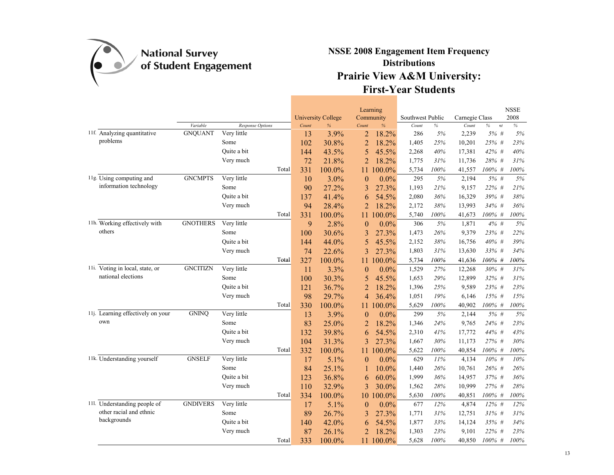

|                                   |                 |                         |       | Learning<br><b>University College</b><br>Community |               | Southwest Public |         | Carnegie Class |        | <b>NSSE</b><br>2008 |            |         |
|-----------------------------------|-----------------|-------------------------|-------|----------------------------------------------------|---------------|------------------|---------|----------------|--------|---------------------|------------|---------|
|                                   | Variable        | <b>Response Options</b> |       | Count                                              | $\frac{9}{6}$ | Count            | $\%$    | Count          | $\%$   | Count               | $\%$<br>nt | $\%$    |
| 11f. Analyzing quantitative       | <b>GNQUANT</b>  | Very little             |       | 13                                                 | 3.9%          | $\overline{2}$   | 18.2%   | 286            | $5\%$  | 2,239               | 5% #       | $5\%$   |
| problems                          |                 | Some                    |       | 102                                                | 30.8%         | $\overline{2}$   | 18.2%   | 1,405          | 25%    | 10,201              | 25% #      | 23%     |
|                                   |                 | Ouite a bit             |       | 144                                                | 43.5%         | 5                | 45.5%   | 2,268          | 40%    | 17,381              | 42% #      | $40\%$  |
|                                   |                 | Very much               |       | 72                                                 | 21.8%         | $\overline{2}$   | 18.2%   | 1,775          | 31%    | 11,736              | 28% #      | 31%     |
|                                   |                 |                         | Total | 331                                                | 100.0%        | 11               | 100.0%  | 5,734          | 100%   | 41,557              | $100\%$ #  | 100%    |
| 11g. Using computing and          | <b>GNCMPTS</b>  | Very little             |       | 10                                                 | 3.0%          | $\theta$         | $0.0\%$ | 295            | 5%     | 2,194               | $5%$ #     | 5%      |
| information technology            |                 | Some                    |       | 90                                                 | 27.2%         | 3                | 27.3%   | 1,193          | 21%    | 9,157               | 22% #      | 21%     |
|                                   |                 | Ouite a bit             |       | 137                                                | 41.4%         | 6                | 54.5%   | 2,080          | 36%    | 16,329              | 39% #      | 38%     |
|                                   |                 | Very much               |       | 94                                                 | 28.4%         | 2                | 18.2%   | 2,172          | $38\%$ | 13,993              | 34% #      | 36%     |
|                                   |                 |                         | Total | 331                                                | 100.0%        | 11               | 100.0%  | 5,740          | 100%   | 41,673              | $100\%$ #  | 100%    |
| 11h. Working effectively with     | <b>GNOTHERS</b> | Very little             |       | 9                                                  | 2.8%          | $\theta$         | $0.0\%$ | 306            | $5\%$  | 1,871               | $4\%$ #    | 5%      |
| others                            |                 | Some                    |       | 100                                                | 30.6%         | 3                | 27.3%   | 1,473          | 26%    | 9,379               | 23% #      | 22%     |
|                                   |                 | Ouite a bit             |       | 144                                                | 44.0%         | 5                | 45.5%   | 2,152          | 38%    | 16,756              | 40% #      | 39%     |
|                                   |                 | Very much               |       | 74                                                 | 22.6%         | 3                | 27.3%   | 1,803          | 31%    | 13,630              | 33% #      | 34%     |
|                                   |                 |                         | Total | 327                                                | 100.0%        | 11               | 100.0%  | 5,734          | 100%   | 41,636              | 100% #     | 100%    |
| 11i. Voting in local, state, or   | <b>GNCITIZN</b> | Very little             |       | 11                                                 | 3.3%          | $\theta$         | $0.0\%$ | 1,529          | 27%    | 12,268              | 30% #      | 31%     |
| national elections                |                 | Some                    |       | 100                                                | 30.3%         | 5                | 45.5%   | 1,653          | 29%    | 12,899              | 32% #      | $31\%$  |
|                                   |                 | Ouite a bit             |       | 121                                                | 36.7%         | $\overline{2}$   | 18.2%   | 1,396          | 25%    | 9,589               | 23% #      | 23%     |
|                                   |                 | Very much               |       | 98                                                 | 29.7%         | 4                | 36.4%   | 1,051          | 19%    | 6,146               | 15% #      | $15\%$  |
|                                   |                 |                         | Total | 330                                                | 100.0%        | 11.              | 100.0%  | 5,629          | 100%   | 40,902              | 100% #     | 100%    |
| 11j. Learning effectively on your | <b>GNINQ</b>    | Very little             |       | 13                                                 | 3.9%          | $\boldsymbol{0}$ | $0.0\%$ | 299            | 5%     | 2,144               | 5% #       | $5\%$   |
| own                               |                 | Some                    |       | 83                                                 | 25.0%         | 2                | 18.2%   | 1,346          | 24%    | 9,765               | 24% #      | 23%     |
|                                   |                 | Quite a bit             |       | 132                                                | 39.8%         | 6                | 54.5%   | 2,310          | 41%    | 17,772              | 44% #      | 43%     |
|                                   |                 | Very much               |       | 104                                                | 31.3%         | 3                | 27.3%   | 1,667          | 30%    | 11,173              | 27% #      | 30%     |
|                                   |                 |                         | Total | 332                                                | 100.0%        | 11               | 100.0%  | 5,622          | 100%   | 40,854              | $100\%$ #  | $100\%$ |
| 11k. Understanding yourself       | <b>GNSELF</b>   | Very little             |       | 17                                                 | 5.1%          | $\theta$         | $0.0\%$ | 629            | 11%    | 4,134               | $10\%$ #   | 10%     |
|                                   |                 | Some                    |       | 84                                                 | 25.1%         | 1                | 10.0%   | 1,440          | $26\%$ | 10,761              | 26% #      | $26\%$  |
|                                   |                 | Ouite a bit             |       | 123                                                | 36.8%         | 6                | 60.0%   | 1,999          | 36%    | 14,957              | 37% #      | 36%     |
|                                   |                 | Very much               |       | 110                                                | 32.9%         | 3                | 30.0%   | 1,562          | 28%    | 10,999              | 27% #      | 28%     |
|                                   |                 |                         | Total | 334                                                | 100.0%        | 10               | 100.0%  | 5,630          | 100%   | 40,851              | 100% #     | 100%    |
| 11l. Understanding people of      | <b>GNDIVERS</b> | Very little             |       | 17                                                 | 5.1%          | $\boldsymbol{0}$ | $0.0\%$ | 677            | 12%    | 4,874               | 12% #      | $12\%$  |
| other racial and ethnic           |                 | Some                    |       | 89                                                 | 26.7%         | 3                | 27.3%   | 1,771          | 31%    | 12,751              | $31\%$ #   | 31%     |
| backgrounds                       |                 | Quite a bit             |       | 140                                                | 42.0%         | 6                | 54.5%   | 1,877          | 33%    | 14,124              | 35% #      | 34%     |
|                                   |                 | Very much               |       | 87                                                 | 26.1%         | $\overline{2}$   | 18.2%   | 1,303          | 23%    | 9,101               | 22%<br>#   | 23%     |
|                                   |                 |                         | Total | 333                                                | 100.0%        | 11               | 100.0%  | 5,628          | 100%   | 40,850              | $100\%$ #  | 100%    |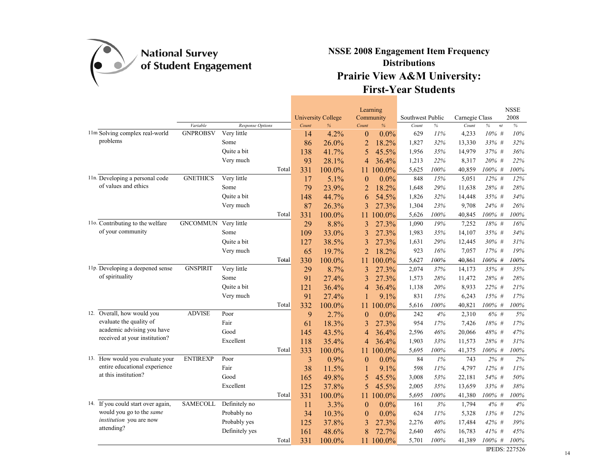

|                                    |                 |                  |       |                | <b>University College</b> |                | Learning<br>Community | Southwest Public |      | Carnegie Class |                     | <b>NSSE</b><br>2008  |
|------------------------------------|-----------------|------------------|-------|----------------|---------------------------|----------------|-----------------------|------------------|------|----------------|---------------------|----------------------|
|                                    | Variable        | Response Options |       | Count          | $\%$                      | Count          | $\%$                  | Count            | $\%$ | Count          | $\%$<br>$\sqrt{nt}$ | $\%$                 |
| 11m Solving complex real-world     | <b>GNPROBSV</b> | Very little      |       | 14             | 4.2%                      | $\theta$       | $0.0\%$               | 629              | 11%  | 4,233          | $10\%$ #            | 10%                  |
| problems                           |                 | Some             |       | 86             | 26.0%                     | 2              | 18.2%                 | 1,827            | 32%  | 13,330         | 33% #               | 32%                  |
|                                    |                 | Ouite a bit      |       | 138            | 41.7%                     | 5              | 45.5%                 | 1,956            | 35%  | 14,979         | 37% #               | 36%                  |
|                                    |                 | Very much        |       | 93             | 28.1%                     | 4              | 36.4%                 | 1,213            | 22%  | 8,317          | 20% #               | 22%                  |
|                                    |                 |                  | Total | 331            | 100.0%                    | 11             | 100.0%                | 5,625            | 100% | 40,859         | 100% #              | 100%                 |
| 11n. Developing a personal code    | <b>GNETHICS</b> | Very little      |       | 17             | 5.1%                      | $\overline{0}$ | $0.0\%$               | 848              | 15%  | 5,051          | $12\%$ #            | 12%                  |
| of values and ethics               |                 | Some             |       | 79             | 23.9%                     | $\overline{2}$ | 18.2%                 | 1,648            | 29%  | 11,638         | 28% #               | 28%                  |
|                                    |                 | Quite a bit      |       | 148            | 44.7%                     | 6              | 54.5%                 | 1,826            | 32%  | 14,448         | 35% #               | 34%                  |
|                                    |                 | Very much        |       | 87             | 26.3%                     | 3              | 27.3%                 | 1,304            | 23%  | 9,708          | 24% #               | 26%                  |
|                                    |                 |                  | Total | 331            | 100.0%                    | 11             | 100.0%                | 5,626            | 100% | 40,845         | 100% #              | 100%                 |
| 110. Contributing to the welfare   | <b>GNCOMMUN</b> | Very little      |       | 29             | 8.8%                      | 3              | 27.3%                 | 1,090            | 19%  | 7,252          | 18% #               | 16%                  |
| of your community                  |                 | Some             |       | 109            | 33.0%                     | 3              | 27.3%                 | 1,983            | 35%  | 14,107         | 35% #               | 34%                  |
|                                    |                 | Quite a bit      |       | 127            | 38.5%                     | 3              | 27.3%                 | 1,631            | 29%  | 12,445         | 30% #               | 31%                  |
|                                    |                 | Very much        |       | 65             | 19.7%                     | $\overline{2}$ | 18.2%                 | 923              | 16%  | 7,057          | 17% #               | 19%                  |
|                                    |                 |                  | Total | 330            | 100.0%                    | 11             | 100.0%                | 5,627            | 100% | 40,861         | 100% #              | 100%                 |
| 11p. Developing a deepened sense   | <b>GNSPIRIT</b> | Very little      |       | 29             | 8.7%                      | 3              | 27.3%                 | 2,074            | 37%  | 14,173         | 35% #               | 35%                  |
| of spirituality                    |                 | Some             |       | 91             | 27.4%                     | 3              | 27.3%                 | 1,573            | 28%  | 11,472         | 28% #               | 28%                  |
|                                    |                 | Quite a bit      |       | 121            | 36.4%                     | 4              | 36.4%                 | 1,138            | 20%  | 8,933          | 22% #               | 21%                  |
|                                    |                 | Very much        |       | 91             | 27.4%                     |                | 9.1%                  | 831              | 15%  | 6,243          | $15%$ #             | 17%                  |
|                                    |                 |                  | Total | 332            | 100.0%                    | 11             | 100.0%                | 5,616            | 100% | 40,821         | $100\%$ #           | 100%                 |
| 12. Overall, how would you         | <b>ADVISE</b>   | Poor             |       | 9              | 2.7%                      | $\overline{0}$ | $0.0\%$               | 242              | 4%   | 2,310          | 6% #                | 5%                   |
| evaluate the quality of            |                 | Fair             |       | 61             | 18.3%                     | 3              | 27.3%                 | 954              | 17%  | 7,426          | 18% #               | $17\%$               |
| academic advising you have         |                 | Good             |       | 145            | 43.5%                     | 4              | 36.4%                 | 2,596            | 46%  | 20,066         | 48% #               | 47%                  |
| received at your institution?      |                 | Excellent        |       | 118            | 35.4%                     | 4              | 36.4%                 | 1,903            | 33%  | 11,573         | 28% #               | 31%                  |
|                                    |                 |                  | Total | 333            | 100.0%                    | 11             | 100.0%                | 5,695            | 100% | 41,375         | 100% #              | 100%                 |
| 13. How would you evaluate your    | <b>ENTIREXP</b> | Poor             |       | $\overline{3}$ | 0.9%                      | $\theta$       | $0.0\%$               | 84               | 1%   | 743            | $2\%$ #             | 2%                   |
| entire educational experience      |                 | Fair             |       | 38             | 11.5%                     | 1              | 9.1%                  | 598              | 11%  | 4,797          | $12\%$ #            | $11\%$               |
| at this institution?               |                 | Good             |       | 165            | 49.8%                     | 5              | 45.5%                 | 3,008            | 53%  | 22,181         | 54% #               | 50%                  |
|                                    |                 | Excellent        |       | 125            | 37.8%                     | 5              | 45.5%                 | 2,005            | 35%  | 13,659         | 33% #               | 38%                  |
|                                    |                 |                  | Total | 331            | 100.0%                    | 11             | 100.0%                | 5,695            | 100% | 41,380         | $100\%$ #           | 100%                 |
| 14. If you could start over again, | <b>SAMECOLL</b> | Definitely no    |       | 11             | 3.3%                      | $\bf{0}$       | $0.0\%$               | 161              | 3%   | 1,794          | 4% #                | 4%                   |
| would you go to the same           |                 | Probably no      |       | 34             | 10.3%                     | $\theta$       | $0.0\%$               | 624              | 11%  | 5,328          | 13% #               | 12%                  |
| <i>institution</i> you are now     |                 | Probably yes     |       | 125            | 37.8%                     | 3              | 27.3%                 | 2,276            | 40%  | 17,484         | 42% #               | 39%                  |
| attending?                         |                 | Definitely yes   |       | 161            | 48.6%                     | 8              | 72.7%                 | 2,640            | 46%  | 16,783         | $41\%$ #            | 45%                  |
|                                    |                 |                  | Total | 331            | 100.0%                    | 11             | 100.0%                | 5,701            | 100% | 41,389         | 100% #              | 100%                 |
|                                    |                 |                  |       |                |                           |                |                       |                  |      |                |                     | <b>IPEDS: 227526</b> |

14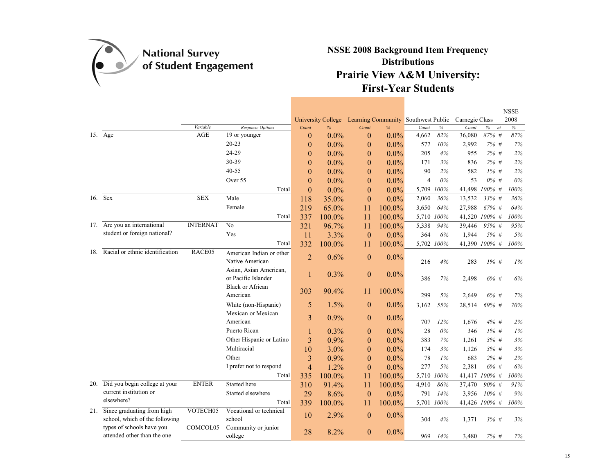

|     |                                                              |                 |                                               |                |                                |                                              |         |            |            |                         |                     | <b>NSSE</b>  |
|-----|--------------------------------------------------------------|-----------------|-----------------------------------------------|----------------|--------------------------------|----------------------------------------------|---------|------------|------------|-------------------------|---------------------|--------------|
|     |                                                              | Variable        | Response Options                              | Count          | <b>University College</b><br>% | Learning Community Southwest Public<br>Count | $\%$    | Count      | $\%$       | Carnegie Class<br>Count | $\%$<br>$\sqrt{nt}$ | 2008<br>$\%$ |
|     | 15. Age                                                      | <b>AGE</b>      | 19 or younger                                 | $\overline{0}$ | $0.0\%$                        | $\mathbf{0}$                                 | $0.0\%$ | 4,662      | 82%        | 36,080                  | 87% #               | 87%          |
|     |                                                              |                 | $20 - 23$                                     | $\theta$       | 0.0%                           | $\theta$                                     | $0.0\%$ | 577        | 10%        | 2,992                   | 7% #                | 7%           |
|     |                                                              |                 | 24-29                                         | $\theta$       | 0.0%                           | $\theta$                                     | $0.0\%$ | 205        | 4%         | 955                     | 2% #                | 2%           |
|     |                                                              |                 | 30-39                                         | $\theta$       | $0.0\%$                        | $\theta$                                     | $0.0\%$ | 171        | 3%         | 836                     | $2\%$ #             | 2%           |
|     |                                                              |                 | $40 - 55$                                     | $\theta$       | 0.0%                           | $\boldsymbol{0}$                             | $0.0\%$ | 90         | 2%         | 582                     | $1\%$ #             | 2%           |
|     |                                                              |                 | Over 55                                       | $\theta$       | 0.0%                           | $\boldsymbol{0}$                             | $0.0\%$ | 4          | $0\%$      | 53                      | $0\%$ #             | $0\%$        |
|     |                                                              |                 | Total                                         | $\theta$       | $0.0\%$                        | $\overline{0}$                               | $0.0\%$ | 5,709      | 100%       | 41,498 100% #           |                     | 100%         |
|     | 16. Sex                                                      | <b>SEX</b>      | Male                                          | 118            | 35.0%                          | $\theta$                                     | $0.0\%$ | 2,060      | 36%        | 13,532                  | 33% #               | 36%          |
|     |                                                              |                 | Female                                        | 219            | 65.0%                          | 11                                           | 100.0%  | 3,650      | 64%        | 27,988                  | $67\%$ #            | 64%          |
|     |                                                              |                 | Total                                         | 337            | 100.0%                         | 11                                           | 100.0%  | 5,710 100% |            | 41,520 100% #           |                     | 100%         |
| 17. | Are you an international                                     | <b>INTERNAT</b> | N <sub>o</sub>                                | 321            | 96.7%                          | 11                                           | 100.0%  | 5,338      | 94%        | 39,446                  | 95% #               | 95%          |
|     | student or foreign national?                                 |                 | Yes                                           | 11             | 3.3%                           | $\theta$                                     | $0.0\%$ | 364        | 6%         | 1,944                   | 5% #                | 5%           |
|     |                                                              |                 | Total                                         | 332            | 100.0%                         | 11                                           | 100.0%  | 5,702 100% |            | 41,390 100% #           |                     | 100%         |
| 18. | Racial or ethnic identification                              | RACE05          | American Indian or other                      | $\overline{2}$ | 0.6%                           | $\theta$                                     | 0.0%    |            |            |                         |                     |              |
|     |                                                              |                 | Native American                               |                |                                |                                              |         | 216        | 4%         | 283                     | $1\%$ #             | 1%           |
|     |                                                              |                 | Asian, Asian American,<br>or Pacific Islander |                | 0.3%                           | $\overline{0}$                               | $0.0\%$ | 386        | 7%         | 2,498                   | $6\%$ #             | 6%           |
|     |                                                              |                 | <b>Black or African</b><br>American           | 303            | 90.4%                          | 11                                           | 100.0%  | 299        | 5%         | 2,649                   | $6\%$ #             | 7%           |
|     |                                                              |                 | White (non-Hispanic)                          | 5              | 1.5%                           | $\mathbf{0}$                                 | $0.0\%$ | 3,162      | 55%        | 28,514                  | 69% #               | 70%          |
|     |                                                              |                 | Mexican or Mexican                            |                |                                |                                              |         |            |            |                         |                     |              |
|     |                                                              |                 | American                                      | 3              | 0.9%                           | $\theta$                                     | 0.0%    | 707        | 12%        | 1,676                   | $4\%$ #             | 2%           |
|     |                                                              |                 | Puerto Rican                                  |                | 0.3%                           | $\bf{0}$                                     | 0.0%    | 28         | $0\%$      | 346                     | $1\%$ #             | $1\%$        |
|     |                                                              |                 | Other Hispanic or Latino                      | 3              | 0.9%                           | $\theta$                                     | $0.0\%$ | 383        | 7%         | 1,261                   | 3%#                 | 3%           |
|     |                                                              |                 | Multiracial                                   | 10             | 3.0%                           | $\theta$                                     | 0.0%    | 174        | 3%         | 1,126                   | $3\%$ #             | 3%           |
|     |                                                              |                 | Other                                         | 3              | 0.9%                           | $\boldsymbol{0}$                             | $0.0\%$ | 78         | $1\%$      | 683                     | $2\%$ #             | 2%           |
|     |                                                              |                 | I prefer not to respond                       | $\overline{4}$ | 1.2%                           | $\theta$                                     | $0.0\%$ | 277        | 5%         | 2,381                   | 6% #                | 6%           |
|     |                                                              |                 | Total                                         | 335            | 100.0%                         | 11                                           | 100.0%  | 5,710 100% |            | 41,417 100% #           |                     | 100%         |
| 20. | Did you begin college at your                                | <b>ENTER</b>    | Started here                                  | 310            | 91.4%                          | 11                                           | 100.0%  | 4,910      | 86%        | 37,470                  | 90% #               | 91%          |
|     | current institution or<br>elsewhere?                         |                 | Started elsewhere                             | 29             | 8.6%                           | $\theta$                                     | $0.0\%$ | 791        | 14%        | 3,956                   | $10\%$ #            | 9%           |
|     |                                                              |                 | Total                                         | 339            | 100.0%                         | 11                                           | 100.0%  |            | 5,701 100% |                         | 41,426 100% #       | 100%         |
| 21. | Since graduating from high<br>school, which of the following | VOTECH05        | Vocational or technical<br>school             | 10             | 2.9%                           | $\theta$                                     | $0.0\%$ | 304        | 4%         | 1,371                   | $3\%$ #             | 3%           |
|     | types of schools have you<br>attended other than the one     | COMCOL05        | Community or junior<br>college                | 28             | 8.2%                           | $\Omega$                                     | 0.0%    | 969        | 14%        | 3,480                   | 7% #                | 7%           |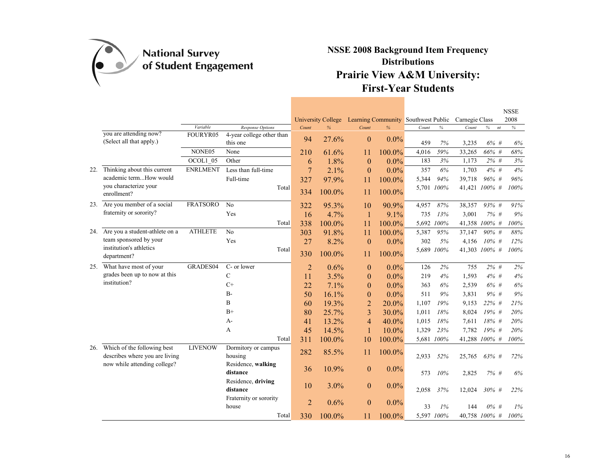

|     |                                                               |                 |                                       |                | <b>University College</b> | Learning Community Southwest Public |          |            |            | Carnegie Class |               | <b>NSSE</b><br>2008 |
|-----|---------------------------------------------------------------|-----------------|---------------------------------------|----------------|---------------------------|-------------------------------------|----------|------------|------------|----------------|---------------|---------------------|
|     |                                                               | Variable        | Response Options                      | Count          | $\frac{9}{6}$             | Count                               | %        | Count      | $\%$       | Count          | nt<br>%       | $\%$                |
|     | you are attending now?<br>(Select all that apply.)            | FOURYR05        | 4-year college other than<br>this one | 94             | 27.6%                     | $\mathbf{0}$                        | $0.0\%$  | 459        | 7%         | 3,235          | $6\%$ #       | 6%                  |
|     |                                                               | NONE05          | None                                  | 210            | 61.6%                     | 11                                  | 100.0%   | 4,016      | 59%        | 33,265         | 66% #         | $68\%$              |
|     |                                                               | OCOL1_05        | Other                                 | 6              | 1.8%                      | $\theta$                            | $0.0\%$  | 183        | 3%         | 1,173          | $2\%$ #       | 3%                  |
| 22. | Thinking about this current                                   | <b>ENRLMENT</b> | Less than full-time                   | 7              | 2.1%                      | $\overline{0}$                      | $0.0\%$  | 357        | 6%         | 1,703          | $4\%$ #       | 4%                  |
|     | academic termHow would                                        |                 | Full-time                             | 327            | 97.9%                     | 11                                  | 100.0%   | 5,344      | 94%        | 39,718         | 96% #         | 96%                 |
|     | you characterize your<br>enrollment?                          |                 | Total                                 | 334            | 100.0%                    | 11                                  | 100.0%   | 5,701 100% |            |                | 41,421 100% # | 100%                |
| 23. | Are you member of a social                                    | <b>FRATSORO</b> | No                                    | 322            | 95.3%                     | 10                                  | 90.9%    | 4,957      | 87%        | 38,357         | 93% #         | 91%                 |
|     | fraternity or sorority?                                       |                 | Yes                                   | 16             | 4.7%                      | $\mathbf{1}$                        | 9.1%     | 735        | 13%        | 3,001          | 7% #          | 9%                  |
|     |                                                               |                 | Total                                 | 338            | 100.0%                    | 11                                  | 100.0%   | 5,692 100% |            |                | 41,358 100% # | 100%                |
| 24. | Are you a student-athlete on a                                | <b>ATHLETE</b>  | No                                    | 303            | 91.8%                     | 11                                  | 100.0%   | 5,387      | 95%        | 37,147         | 90% #         | 88%                 |
|     | team sponsored by your                                        |                 | Yes                                   | 27             | 8.2%                      | $\theta$                            | $0.0\%$  | 302        | 5%         | 4,156          | $10\%$ #      | 12%                 |
|     | institution's athletics<br>department?                        |                 | Total                                 | 330            | 100.0%                    | 11                                  | 100.0%   |            | 5,689 100% |                | 41,303 100% # | 100%                |
| 25. | What have most of your                                        | GRADES04        | C- or lower                           | $\overline{2}$ | 0.6%                      | $\theta$                            | $0.0\%$  | 126        | 2%         | 755            | $2\%$ #       | 2%                  |
|     | grades been up to now at this                                 |                 | $\mathcal{C}$                         | 11             | 3.5%                      | $\theta$                            | $0.0\%$  | 219        | 4%         | 1,593          | $4\%$ #       | 4%                  |
|     | institution?                                                  |                 | $C+$                                  | 22             | 7.1%                      | $\theta$                            | $0.0\%$  | 363        | 6%         | 2,539          | 6% #          | 6%                  |
|     |                                                               |                 | $B -$                                 | 50             | 16.1%                     | $\boldsymbol{0}$                    | $0.0\%$  | 511        | 9%         | 3,831          | $9\%$ #       | 9%                  |
|     |                                                               |                 | B                                     | 60             | 19.3%                     | $\overline{2}$                      | 20.0%    | 1,107      | 19%        | 9,153          | 22% #         | 21%                 |
|     |                                                               |                 | $B+$                                  | 80             | 25.7%                     | 3                                   | 30.0%    | 1,011      | 18%        | 8,024          | 19% #         | 20%                 |
|     |                                                               |                 | A-                                    | 41             | 13.2%                     | $\overline{4}$                      | 40.0%    | 1,015      | 18%        | 7,611          | 18% #         | 20%                 |
|     |                                                               |                 | A                                     | 45             | 14.5%                     | 1                                   | $10.0\%$ | 1,329      | 23%        | 7,782          | $19\%$ #      | 20%                 |
|     |                                                               |                 | Total                                 | 311            | 100.0%                    | 10                                  | 100.0%   | 5,681 100% |            | 41,288 100% #  |               | 100%                |
| 26. | Which of the following best<br>describes where you are living | <b>LIVENOW</b>  | Dormitory or campus<br>housing        | 282            | 85.5%                     | 11                                  | 100.0%   | 2,933      | 52%        | 25,765         | 63% #         | 72%                 |
|     | now while attending college?                                  |                 | Residence, walking<br>distance        | 36             | 10.9%                     | $\theta$                            | 0.0%     | 573        | 10%        | 2,825          | $7\%$ #       | 6%                  |
|     |                                                               |                 | Residence, driving<br>distance        | 10             | 3.0%                      | $\mathbf{0}$                        | 0.0%     | 2,058      | 37%        | 12,024         | $30\%$ #      | 22%                 |
|     |                                                               |                 | Fraternity or sorority<br>house       | $\overline{2}$ | 0.6%                      | $\mathbf{0}$                        | 0.0%     | 33         | 1%         | 144            | $0\%$ #       | $1\%$               |
|     |                                                               |                 | Total                                 | 330            | $100.0\%$                 | 11                                  | 100.0%   | 5,597 100% |            |                | 40,758 100% # | 100%                |

16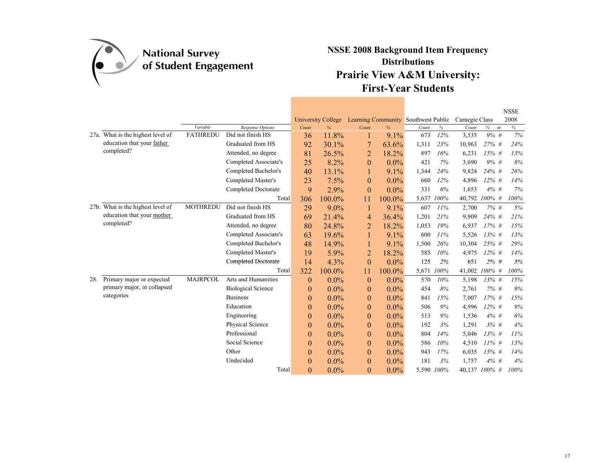

|     |                                   |                             |                                       |                |                    |                |                                     |       |            |                |               | <b>NSSE</b> |
|-----|-----------------------------------|-----------------------------|---------------------------------------|----------------|--------------------|----------------|-------------------------------------|-------|------------|----------------|---------------|-------------|
|     |                                   |                             |                                       |                | University College |                | Learning Community Southwest Public |       |            | Carnegie Class |               | 2008        |
|     | 27a. What is the highest level of | Variable<br><b>FATHREDU</b> | Response Options<br>Did not finish HS | Count          | $\frac{9}{6}$      | Count          | %                                   | Count | $\%$       | Count          | $\%$<br>nt    | $\%$        |
|     | education that your father        |                             | Graduated from HS                     | 36             | 11.8%              |                | 9.1%                                | 673   | 12%        | 3,535          | 9% #          | 7%          |
|     | completed?                        |                             |                                       | 92             | 30.1%              | 7              | 63.6%                               | 1,311 | 23%        | 10,963         | $27\%$ #      | 24%         |
|     |                                   |                             | Attended, no degree                   | 81             | 26.5%              | 2              | 18.2%                               | 897   | 16%        | 6,231          | $15\%$ #      | 13%         |
|     |                                   |                             | Completed Associate's                 | 25             | 8.2%               | $\theta$       | $0.0\%$                             | 421   | 7%         | 3,690          | 9% #          | 8%          |
|     |                                   |                             | Completed Bachelor's                  | 40             | 13.1%              |                | 9.1%                                | 1,344 | 24%        | 9,824          | 24% #         | 26%         |
|     |                                   |                             | Completed Master's                    | 23             | 7.5%               | $\theta$       | $0.0\%$                             | 660   | 12%        | 4,896          | $12\%$ #      | 14%         |
|     |                                   |                             | Completed Doctorate                   | 9              | 2.9%               | $\overline{0}$ | $0.0\%$                             | 331   | 6%         | 1,653          | $4\%$ #       | 7%          |
|     |                                   |                             | Total                                 | 306            | 100.0%             | 11             | 100.0%                              | 5,637 | $100\%$    | 40,792         | $100\%$ #     | 100%        |
|     | 27b. What is the highest level of | <b>MOTHREDU</b>             | Did not finish HS                     | 29             | 9.0%               |                | 9.1%                                | 607   | 11%        | 2,700          | 7% #          | 5%          |
|     | education that your mother        |                             | Graduated from HS                     | 69             | 21.4%              | 4              | 36.4%                               | 1,201 | 21%        | 9,909          | 24% #         | 21%         |
|     | completed?                        |                             | Attended, no degree                   | 80             | 24.8%              | $\overline{2}$ | 18.2%                               | 1,053 | 19%        | 6,937          | $17%$ #       | 15%         |
|     |                                   |                             | Completed Associate's                 | 63             | 19.6%              |                | 9.1%                                | 600   | 11%        | 5,526          | $13\%$ #      | 13%         |
|     |                                   |                             | Completed Bachelor's                  | 48             | 14.9%              |                | $9.1\%$                             | 1,500 | 26%        | 10,304         | 25% #         | 29%         |
|     |                                   |                             | Completed Master's                    | 19             | 5.9%               | $\overline{2}$ | 18.2%                               | 585   | 10%        | 4,975          | $12\%$ #      | 14%         |
|     |                                   |                             | <b>Completed Doctorate</b>            | 14             | 4.3%               | $\overline{0}$ | $0.0\%$                             | 125   | 2%         | 651            | $2\%$ #       | 3%          |
|     |                                   |                             | Total                                 | 322            | 100.0%             | 11             | 100.0%                              | 5,671 | 100%       | 41,002         | $100\%$ #     | 100%        |
| 28. | Primary major or expected         | <b>MAJRPCOL</b>             | Arts and Humanities                   | $\overline{0}$ | $0.0\%$            | $\theta$       | $0.0\%$                             | 570   | 10%        | 5,198          | $13\%$ #      | 15%         |
|     | primary major, in collapsed       |                             | <b>Biological Science</b>             | $\theta$       | $0.0\%$            | $\theta$       | $0.0\%$                             | 454   | 8%         | 2,761          | $7\%$ #       | 9%          |
|     | categories                        |                             | <b>Business</b>                       | $\theta$       | $0.0\%$            | $\theta$       | $0.0\%$                             | 841   | 15%        | 7,007          | $17%$ #       | 15%         |
|     |                                   |                             | Education                             | $\theta$       | $0.0\%$            | $\theta$       | 0.0%                                | 506   | 9%         | 4,996          | $12\%$ #      | 9%          |
|     |                                   |                             | Engineering                           | $\theta$       | $0.0\%$            | $\theta$       | $0.0\%$                             | 513   | 9%         | 1,536          | $4\%$ #       | 6%          |
|     |                                   |                             | Physical Science                      | $\theta$       | $0.0\%$            | $\Omega$       | 0.0%                                | 192   | 3%         | 1,291          | 3%#           | 4%          |
|     |                                   |                             | Professional                          | $\theta$       | $0.0\%$            | $\theta$       | $0.0\%$                             | 804   | 14%        | 5,046          | $13\%$ #      | 11%         |
|     |                                   |                             | Social Science                        | $\mathbf{0}$   | $0.0\%$            | $\theta$       | 0.0%                                | 586   | 10%        | 4,510          | $11\%$ #      | 13%         |
|     |                                   |                             | Other                                 | $\theta$       | $0.0\%$            | $\theta$       | $0.0\%$                             | 943   | 17%        | 6,035          | $15%$ #       | 14%         |
|     |                                   |                             | Undecided                             | $\theta$       | $0.0\%$            | $\overline{0}$ | $0.0\%$                             | 181   | 3%         | 1,757          | $4\%$ #       | 4%          |
|     |                                   |                             | Total                                 | $\theta$       | $0.0\%$            | $\theta$       | $0.0\%$                             |       | 5,590 100% |                | 40,137 100% # | 100%        |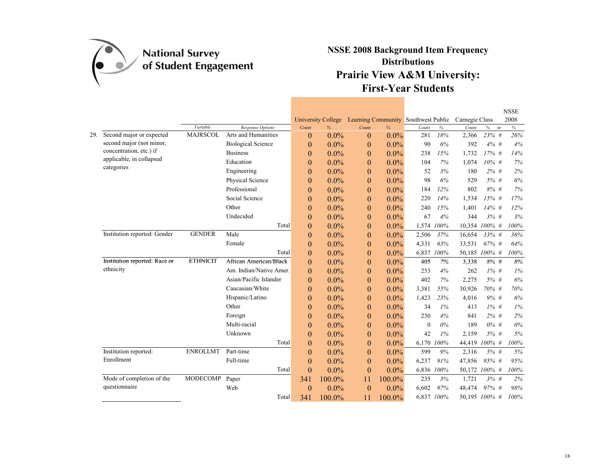

|     |                                        |                 |                           |                  |                    |                  |                                     |              |            |                |           |    | <b>NSSE</b> |
|-----|----------------------------------------|-----------------|---------------------------|------------------|--------------------|------------------|-------------------------------------|--------------|------------|----------------|-----------|----|-------------|
|     |                                        |                 |                           |                  | University College |                  | Learning Community Southwest Public |              |            | Carnegie Class |           |    | 2008        |
|     |                                        | Variable        | <b>Response Options</b>   | Count            | %                  | Count            | %                                   | Count        | $\%$       | Count          | $\%$      | nt | $\%$        |
| 29. | Second major or expected               | <b>MAJRSCOL</b> | Arts and Humanities       | $\theta$         | $0.0\%$            | $\Omega$         | $0.0\%$                             | 281          | 18%        | 2,366          | 23% #     |    | 26%         |
|     | second major (not minor,               |                 | <b>Biological Science</b> | $\boldsymbol{0}$ | 0.0%               | $\boldsymbol{0}$ | $0.0\%$                             | 90           | 6%         | 392            | $4\%$ #   |    | 4%          |
|     | concentration, etc.) if                |                 | <b>Business</b>           | $\boldsymbol{0}$ | $0.0\%$            | $\overline{0}$   | 0.0%                                | 238          | 15%        | 1,732          | $17\%$ #  |    | 14%         |
|     | applicable, in collapsed<br>categories |                 | Education                 | $\mathbf{0}$     | $0.0\%$            | $\theta$         | $0.0\%$                             | 104          | 7%         | 1,074          | $10\%$ #  |    | 7%          |
|     |                                        |                 | Engineering               | $\boldsymbol{0}$ | $0.0\%$            | $\theta$         | $0.0\%$                             | 52           | 3%         | 180            | $2\%$ #   |    | 2%          |
|     |                                        |                 | Physical Science          | $\boldsymbol{0}$ | $0.0\%$            | $\theta$         | $0.0\%$                             | 98           | 6%         | 529            | 5% #      |    | 6%          |
|     |                                        |                 | Professional              | $\mathbf{0}$     | $0.0\%$            | $\overline{0}$   | 0.0%                                | 184          | 12%        | 802            | $8\%$ #   |    | 7%          |
|     |                                        |                 | Social Science            | $\mathbf{0}$     | $0.0\%$            | $\theta$         | $0.0\%$                             | 220          | 14%        | 1,534          | $15\%$ #  |    | 17%         |
|     |                                        |                 | Other                     | $\boldsymbol{0}$ | $0.0\%$            | $\overline{0}$   | $0.0\%$                             | 240          | 15%        | 1,401          | $14\%$ #  |    | 12%         |
|     |                                        |                 | Undecided                 | $\boldsymbol{0}$ | 0.0%               | $\boldsymbol{0}$ | 0.0%                                | 67           | 4%         | 344            | 3%#       |    | 3%          |
|     |                                        |                 | Total                     | $\mathbf{0}$     | $0.0\%$            | $\theta$         | $0.0\%$                             | 1,574        | 100%       | 10,354         | $100\%$ # |    | 100%        |
|     | Institution reported: Gender           | <b>GENDER</b>   | Male                      | $\mathbf{0}$     | $0.0\%$            | $\theta$         | $0.0\%$                             | 2,506        | 37%        | 16,654         | 33% #     |    | 36%         |
|     |                                        |                 | Female                    | $\boldsymbol{0}$ | $0.0\%$            | $\boldsymbol{0}$ | $0.0\%$                             | 4,331        | 63%        | 33,531         | $67\%$ #  |    | 64%         |
|     |                                        |                 | Total                     | $\overline{0}$   | $0.0\%$            | $\theta$         | $0.0\%$                             |              | 6,837 100% | 50,185         | $100\%$ # |    | 100%        |
|     | Institution reported: Race or          | <b>ETHNICIT</b> | African American/Black    | $\mathbf{0}$     | 0.0%               | $\boldsymbol{0}$ | $0.0\%$                             | 405          | 7%         | 3,338          | 8% #      |    | 8%          |
|     | ethnicity                              |                 | Am. Indian/Native Amer.   | $\boldsymbol{0}$ | $0.0\%$            | $\boldsymbol{0}$ | $0.0\%$                             | 253          | 4%         | 262            | $1\%$ #   |    | 1%          |
|     |                                        |                 | Asian/Pacific Islander    | $\mathbf{0}$     | 0.0%               | $\theta$         | $0.0\%$                             | 402          | 7%         | 2,275          | 5% #      |    | 6%          |
|     |                                        |                 | Caucasian/White           | $\mathbf{0}$     | $0.0\%$            | $\boldsymbol{0}$ | $0.0\%$                             | 3,381        | 55%        | 30,926         | 70% #     |    | 70%         |
|     |                                        |                 | Hispanic/Latino           | $\mathbf{0}$     | $0.0\%$            | $\theta$         | $0.0\%$                             | 1,423        | 23%        | 4,016          | 9% #      |    | 6%          |
|     |                                        |                 | Other                     | $\boldsymbol{0}$ | $0.0\%$            | $\boldsymbol{0}$ | $0.0\%$                             | 34           | $1\%$      | 413            | $1\%$ #   |    | 1%          |
|     |                                        |                 | Foreign                   | $\mathbf{0}$     | $0.0\%$            | $\overline{0}$   | $0.0\%$                             | 230          | 4%         | 841            | $2\%$ #   |    | 2%          |
|     |                                        |                 | Multi-racial              | $\theta$         | $0.0\%$            | $\overline{0}$   | $0.0\%$                             | $\mathbf{0}$ | 0%         | 189            | $0\%$ #   |    | $0\%$       |
|     |                                        |                 | Unknown                   | $\boldsymbol{0}$ | 0.0%               | $\boldsymbol{0}$ | $0.0\%$                             | 42           | $1\%$      | 2,159          | 5% #      |    | 5%          |
|     |                                        |                 | Total                     | $\mathbf{0}$     | $0.0\%$            | $\theta$         | $0.0\%$                             | 6,170        | 100%       | 44,419         | 100% #    |    | 100%        |
|     | Institution reported:                  | <b>ENROLLMT</b> | Part-time                 | $\overline{0}$   | $0.0\%$            | $\theta$         | $0.0\%$                             | 599          | 9%         | 2,316          | 5% #      |    | 5%          |
|     | Enrollment                             |                 | Full-time                 | $\boldsymbol{0}$ | $0.0\%$            | $\boldsymbol{0}$ | $0.0\%$                             | 6,237        | 91%        | 47,856         | 95% #     |    | 95%         |
|     |                                        |                 | Total                     | $\theta$         | 0.0%               | $\Omega$         | $0.0\%$                             |              | 6,836 100% | 50,172 100% #  |           |    | 100%        |
|     | Mode of completion of the              | <b>MODECOMP</b> | Paper                     | 341              | 100.0%             | 11               | 100.0%                              | 235          | 3%         | 1,721          | 3% #      |    | 2%          |
|     | questionnaire                          |                 | Web                       | $\overline{0}$   | $0.0\%$            | $\theta$         | $0.0\%$                             | 6,602        | 97%        | 48,474         | 97%#      |    | 98%         |
|     |                                        |                 | Total                     | 341              | 100.0%             | 11               | 100.0%                              |              | 6,837 100% | 50,195 100% #  |           |    | 100%        |